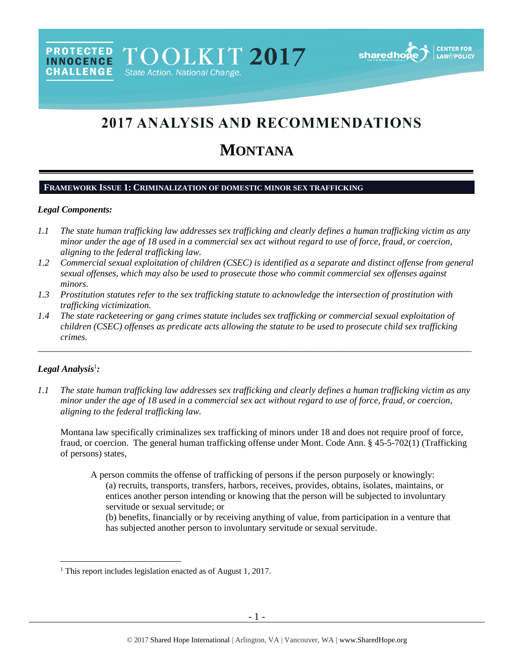# **2017 ANALYSIS AND RECOMMENDATIONS**

# **MONTANA**

# **FRAMEWORK ISSUE 1: CRIMINALIZATION OF DOMESTIC MINOR SEX TRAFFICKING**

# *Legal Components:*

**PROTECTED** 

**INNOCENCE CHALLENGE** 

- *1.1 The state human trafficking law addresses sex trafficking and clearly defines a human trafficking victim as any minor under the age of 18 used in a commercial sex act without regard to use of force, fraud, or coercion, aligning to the federal trafficking law.*
- *1.2 Commercial sexual exploitation of children (CSEC) is identified as a separate and distinct offense from general sexual offenses, which may also be used to prosecute those who commit commercial sex offenses against minors.*
- *1.3 Prostitution statutes refer to the sex trafficking statute to acknowledge the intersection of prostitution with trafficking victimization.*
- *1.4 The state racketeering or gang crimes statute includes sex trafficking or commercial sexual exploitation of children (CSEC) offenses as predicate acts allowing the statute to be used to prosecute child sex trafficking crimes.*

\_\_\_\_\_\_\_\_\_\_\_\_\_\_\_\_\_\_\_\_\_\_\_\_\_\_\_\_\_\_\_\_\_\_\_\_\_\_\_\_\_\_\_\_\_\_\_\_\_\_\_\_\_\_\_\_\_\_\_\_\_\_\_\_\_\_\_\_\_\_\_\_\_\_\_\_\_\_\_\_\_\_\_\_\_\_\_\_\_\_\_\_\_\_

## *Legal Analysis*<sup>1</sup> *:*

 $\overline{a}$ 

*1.1 The state human trafficking law addresses sex trafficking and clearly defines a human trafficking victim as any minor under the age of 18 used in a commercial sex act without regard to use of force, fraud, or coercion, aligning to the federal trafficking law.*

Montana law specifically criminalizes sex trafficking of minors under 18 and does not require proof of force, fraud, or coercion. The general human trafficking offense under Mont. Code Ann. § 45-5-702(1) (Trafficking of persons) states,

A person commits the offense of trafficking of persons if the person purposely or knowingly: (a) recruits, transports, transfers, harbors, receives, provides, obtains, isolates, maintains, or entices another person intending or knowing that the person will be subjected to involuntary servitude or sexual servitude; or

(b) benefits, financially or by receiving anything of value, from participation in a venture that has subjected another person to involuntary servitude or sexual servitude.

<sup>&</sup>lt;sup>1</sup> This report includes legislation enacted as of August 1, 2017.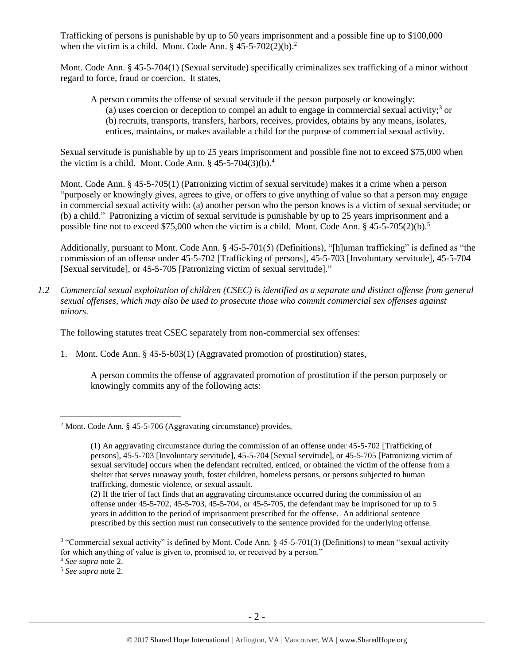Trafficking of persons is punishable by up to 50 years imprisonment and a possible fine up to \$100,000 when the victim is a child. Mont. Code Ann.  $\S$  45-5-702(2)(b).<sup>2</sup>

Mont. Code Ann. § 45-5-704(1) (Sexual servitude) specifically criminalizes sex trafficking of a minor without regard to force, fraud or coercion. It states,

<span id="page-1-0"></span>A person commits the offense of sexual servitude if the person purposely or knowingly: (a) uses coercion or deception to compel an adult to engage in commercial sexual activity;<sup>3</sup> or (b) recruits, transports, transfers, harbors, receives, provides, obtains by any means, isolates, entices, maintains, or makes available a child for the purpose of commercial sexual activity.

Sexual servitude is punishable by up to 25 years imprisonment and possible fine not to exceed \$75,000 when the victim is a child. Mont. Code Ann.  $\frac{6}{5}$  45-5-704(3)(b).<sup>4</sup>

Mont. Code Ann. § 45-5-705(1) (Patronizing victim of sexual servitude) makes it a crime when a person "purposely or knowingly gives, agrees to give, or offers to give anything of value so that a person may engage in commercial sexual activity with: (a) another person who the person knows is a victim of sexual servitude; or (b) a child." Patronizing a victim of sexual servitude is punishable by up to 25 years imprisonment and a possible fine not to exceed \$75,000 when the victim is a child. Mont. Code Ann.  $\S$  45-5-705(2)(b).<sup>5</sup>

Additionally, pursuant to Mont. Code Ann. § 45-5-701(5) (Definitions), "[h]uman trafficking" is defined as "the commission of an offense under 45-5-702 [Trafficking of persons], 45-5-703 [Involuntary servitude], 45-5-704 [Sexual servitude], or 45-5-705 [Patronizing victim of sexual servitude]."

*1.2 Commercial sexual exploitation of children (CSEC) is identified as a separate and distinct offense from general sexual offenses, which may also be used to prosecute those who commit commercial sex offenses against minors.*

The following statutes treat CSEC separately from non-commercial sex offenses:

1. Mont. Code Ann. § 45-5-603(1) (Aggravated promotion of prostitution) states,

A person commits the offense of aggravated promotion of prostitution if the person purposely or knowingly commits any of the following acts:

<sup>2</sup> Mont. Code Ann. § 45-5-706 (Aggravating circumstance) provides,

<sup>(1)</sup> An aggravating circumstance during the commission of an offense under 45-5-702 [Trafficking of persons], 45-5-703 [Involuntary servitude], 45-5-704 [Sexual servitude], or 45-5-705 [Patronizing victim of sexual servitude] occurs when the defendant recruited, enticed, or obtained the victim of the offense from a shelter that serves runaway youth, foster children, homeless persons, or persons subjected to human trafficking, domestic violence, or sexual assault.

<sup>(2)</sup> If the trier of fact finds that an aggravating circumstance occurred during the commission of an offense under 45-5-702, 45-5-703, 45-5-704, or 45-5-705, the defendant may be imprisoned for up to 5 years in addition to the period of imprisonment prescribed for the offense. An additional sentence prescribed by this section must run consecutively to the sentence provided for the underlying offense.

<sup>3</sup> "Commercial sexual activity" is defined by Mont. Code Ann. § 45-5-701(3) (Definitions) to mean "sexual activity for which anything of value is given to, promised to, or received by a person."

<sup>4</sup> *See supra* note [2.](#page-1-0)

<sup>5</sup> *See supra* note [2.](#page-1-0)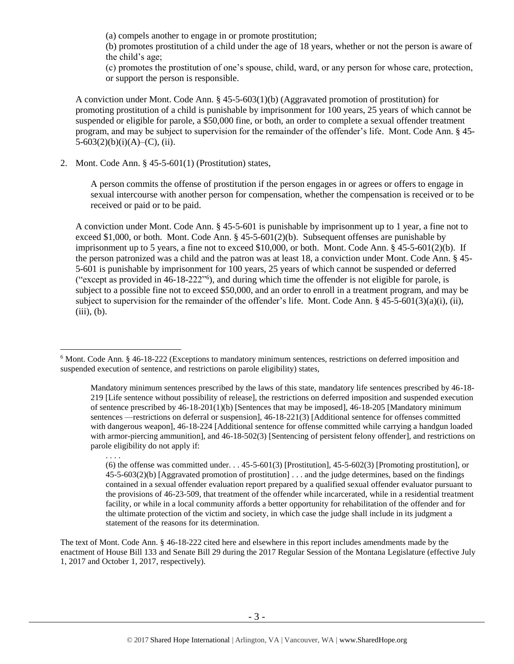(a) compels another to engage in or promote prostitution;

(b) promotes prostitution of a child under the age of 18 years, whether or not the person is aware of the child's age;

(c) promotes the prostitution of one's spouse, child, ward, or any person for whose care, protection, or support the person is responsible.

A conviction under Mont. Code Ann. § 45-5-603(1)(b) (Aggravated promotion of prostitution) for promoting prostitution of a child is punishable by imprisonment for 100 years, 25 years of which cannot be suspended or eligible for parole, a \$50,000 fine, or both, an order to complete a sexual offender treatment program, and may be subject to supervision for the remainder of the offender's life. Mont. Code Ann. § 45-  $5-603(2)(b)(i)(A)$ –(C), (ii).

2. Mont. Code Ann. § 45-5-601(1) (Prostitution) states,

A person commits the offense of prostitution if the person engages in or agrees or offers to engage in sexual intercourse with another person for compensation, whether the compensation is received or to be received or paid or to be paid.

<span id="page-2-0"></span>A conviction under Mont. Code Ann. § 45-5-601 is punishable by imprisonment up to 1 year, a fine not to exceed \$1,000, or both. Mont. Code Ann.  $\S$  45-5-601(2)(b). Subsequent offenses are punishable by imprisonment up to 5 years, a fine not to exceed \$10,000, or both. Mont. Code Ann. § 45-5-601(2)(b). If the person patronized was a child and the patron was at least 18, a conviction under Mont. Code Ann. § 45- 5-601 is punishable by imprisonment for 100 years, 25 years of which cannot be suspended or deferred ("except as provided in 46-18-222"<sup>6</sup> ), and during which time the offender is not eligible for parole, is subject to a possible fine not to exceed \$50,000, and an order to enroll in a treatment program, and may be subject to supervision for the remainder of the offender's life. Mont. Code Ann. § 45-5-601(3)(a)(i), (ii),  $(iii)$ ,  $(b)$ .

 $\overline{a}$ 

The text of Mont. Code Ann. § 46-18-222 cited here and elsewhere in this report includes amendments made by the enactment of House Bill 133 and Senate Bill 29 during the 2017 Regular Session of the Montana Legislature (effective July 1, 2017 and October 1, 2017, respectively).

<sup>6</sup> Mont. Code Ann. § 46-18-222 (Exceptions to mandatory minimum sentences, restrictions on deferred imposition and suspended execution of sentence, and restrictions on parole eligibility) states,

Mandatory minimum sentences prescribed by the laws of this state, mandatory life sentences prescribed by 46-18- 219 [Life sentence without possibility of release], the restrictions on deferred imposition and suspended execution of sentence prescribed by 46-18-201(1)(b) [Sentences that may be imposed], 46-18-205 [Mandatory minimum sentences —restrictions on deferral or suspension], 46-18-221(3) [Additional sentence for offenses committed with dangerous weapon], 46-18-224 [Additional sentence for offense committed while carrying a handgun loaded with armor-piercing ammunition], and 46-18-502(3) [Sentencing of persistent felony offender], and restrictions on parole eligibility do not apply if:

<sup>. . . .</sup>

<sup>(6)</sup> the offense was committed under. . . 45-5-601(3) [Prostitution], 45-5-602(3) [Promoting prostitution], or 45-5-603(2)(b) [Aggravated promotion of prostitution] . . . and the judge determines, based on the findings contained in a sexual offender evaluation report prepared by a qualified sexual offender evaluator pursuant to the provisions of 46-23-509, that treatment of the offender while incarcerated, while in a residential treatment facility, or while in a local community affords a better opportunity for rehabilitation of the offender and for the ultimate protection of the victim and society, in which case the judge shall include in its judgment a statement of the reasons for its determination.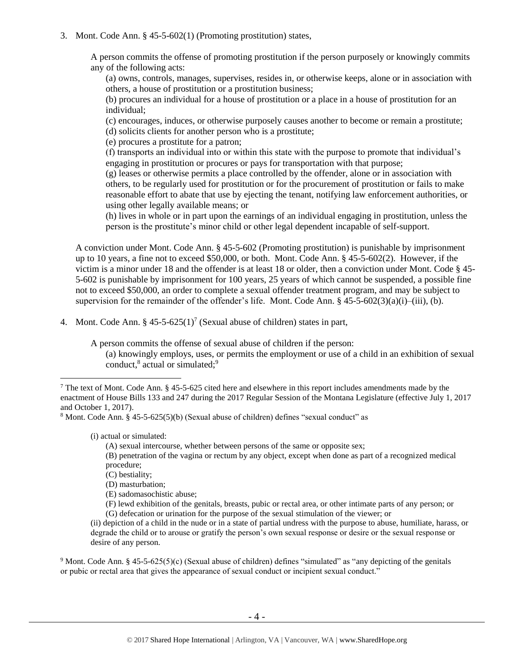#### 3. Mont. Code Ann. § 45-5-602(1) (Promoting prostitution) states,

A person commits the offense of promoting prostitution if the person purposely or knowingly commits any of the following acts:

(a) owns, controls, manages, supervises, resides in, or otherwise keeps, alone or in association with others, a house of prostitution or a prostitution business;

(b) procures an individual for a house of prostitution or a place in a house of prostitution for an individual;

(c) encourages, induces, or otherwise purposely causes another to become or remain a prostitute; (d) solicits clients for another person who is a prostitute;

(e) procures a prostitute for a patron;

(f) transports an individual into or within this state with the purpose to promote that individual's engaging in prostitution or procures or pays for transportation with that purpose;

(g) leases or otherwise permits a place controlled by the offender, alone or in association with others, to be regularly used for prostitution or for the procurement of prostitution or fails to make reasonable effort to abate that use by ejecting the tenant, notifying law enforcement authorities, or using other legally available means; or

(h) lives in whole or in part upon the earnings of an individual engaging in prostitution, unless the person is the prostitute's minor child or other legal dependent incapable of self-support.

A conviction under Mont. Code Ann. § 45-5-602 (Promoting prostitution) is punishable by imprisonment up to 10 years, a fine not to exceed \$50,000, or both. Mont. Code Ann. § 45-5-602(2). However, if the victim is a minor under 18 and the offender is at least 18 or older, then a conviction under Mont. Code § 45- 5-602 is punishable by imprisonment for 100 years, 25 years of which cannot be suspended, a possible fine not to exceed \$50,000, an order to complete a sexual offender treatment program, and may be subject to supervision for the remainder of the offender's life. Mont. Code Ann.  $\S$  45-5-602(3)(a)(i)–(iii), (b).

4. Mont. Code Ann.  $\S 45-5-625(1)^7$  (Sexual abuse of children) states in part,

A person commits the offense of sexual abuse of children if the person:

<span id="page-3-2"></span><span id="page-3-1"></span><span id="page-3-0"></span>(a) knowingly employs, uses, or permits the employment or use of a child in an exhibition of sexual conduct,<sup>8</sup> actual or simulated;<sup>9</sup>

(i) actual or simulated:

 $\overline{a}$ 

(A) sexual intercourse, whether between persons of the same or opposite sex;

(B) penetration of the vagina or rectum by any object, except when done as part of a recognized medical procedure;

- (C) bestiality;
- (D) masturbation;

(E) sadomasochistic abuse;

(F) lewd exhibition of the genitals, breasts, pubic or rectal area, or other intimate parts of any person; or (G) defecation or urination for the purpose of the sexual stimulation of the viewer; or

<sup>9</sup> Mont. Code Ann. § 45-5-625(5)(c) (Sexual abuse of children) defines "simulated" as "any depicting of the genitals or pubic or rectal area that gives the appearance of sexual conduct or incipient sexual conduct."

<sup>&</sup>lt;sup>7</sup> The text of Mont. Code Ann. § 45-5-625 cited here and elsewhere in this report includes amendments made by the enactment of House Bills 133 and 247 during the 2017 Regular Session of the Montana Legislature (effective July 1, 2017 and October 1, 2017).

<sup>8</sup> Mont. Code Ann. § 45-5-625(5)(b) (Sexual abuse of children) defines "sexual conduct" as

<sup>(</sup>ii) depiction of a child in the nude or in a state of partial undress with the purpose to abuse, humiliate, harass, or degrade the child or to arouse or gratify the person's own sexual response or desire or the sexual response or desire of any person.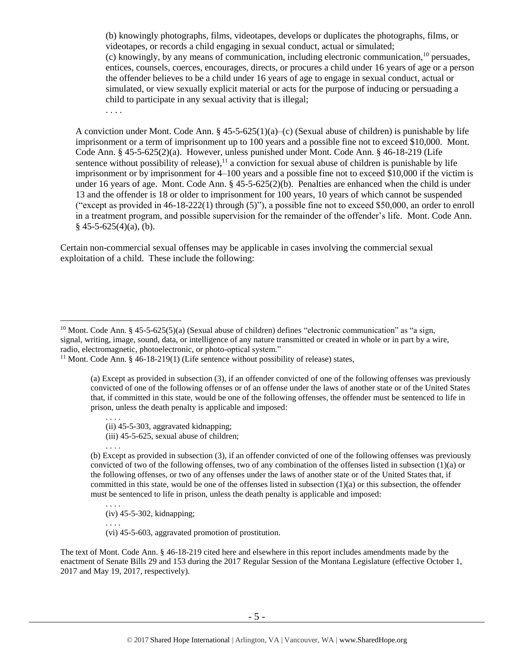<span id="page-4-1"></span>(b) knowingly photographs, films, videotapes, develops or duplicates the photographs, films, or videotapes, or records a child engaging in sexual conduct, actual or simulated; (c) knowingly, by any means of communication, including electronic communication,  $^{10}$  persuades, entices, counsels, coerces, encourages, directs, or procures a child under 16 years of age or a person the offender believes to be a child under 16 years of age to engage in sexual conduct, actual or simulated, or view sexually explicit material or acts for the purpose of inducing or persuading a child to participate in any sexual activity that is illegal;

<span id="page-4-0"></span>. . . .

A conviction under Mont. Code Ann.  $\S$  45-5-625(1)(a)–(c) (Sexual abuse of children) is punishable by life imprisonment or a term of imprisonment up to 100 years and a possible fine not to exceed \$10,000. Mont. Code Ann. § 45-5-625(2)(a). However, unless punished under Mont. Code Ann. § 46-18-219 (Life sentence without possibility of release),<sup>11</sup> a conviction for sexual abuse of children is punishable by life imprisonment or by imprisonment for 4–100 years and a possible fine not to exceed \$10,000 if the victim is under 16 years of age. Mont. Code Ann. § 45-5-625(2)(b). Penalties are enhanced when the child is under 13 and the offender is 18 or older to imprisonment for 100 years, 10 years of which cannot be suspended ("except as provided in  $46-18-222(1)$  through  $(5)$ "), a possible fine not to exceed \$50,000, an order to enroll in a treatment program, and possible supervision for the remainder of the offender's life. Mont. Code Ann.  $§$  45-5-625(4)(a), (b).

Certain non-commercial sexual offenses may be applicable in cases involving the commercial sexual exploitation of a child. These include the following:

(iii) 45-5-625, sexual abuse of children;

. . . .

. . . .

. . . .

 $\overline{a}$ 

(b) Except as provided in subsection (3), if an offender convicted of one of the following offenses was previously convicted of two of the following offenses, two of any combination of the offenses listed in subsection (1)(a) or the following offenses, or two of any offenses under the laws of another state or of the United States that, if committed in this state, would be one of the offenses listed in subsection (1)(a) or this subsection, the offender must be sentenced to life in prison, unless the death penalty is applicable and imposed:

. . . . (iv) 45-5-302, kidnapping;

(vi) 45-5-603, aggravated promotion of prostitution.

The text of Mont. Code Ann. § 46-18-219 cited here and elsewhere in this report includes amendments made by the enactment of Senate Bills 29 and 153 during the 2017 Regular Session of the Montana Legislature (effective October 1, 2017 and May 19, 2017, respectively).

<sup>&</sup>lt;sup>10</sup> Mont. Code Ann. § 45-5-625(5)(a) (Sexual abuse of children) defines "electronic communication" as "a sign, signal, writing, image, sound, data, or intelligence of any nature transmitted or created in whole or in part by a wire, radio, electromagnetic, photoelectronic, or photo-optical system."

 $11$  Mont. Code Ann. § 46-18-219(1) (Life sentence without possibility of release) states,

<sup>(</sup>a) Except as provided in subsection (3), if an offender convicted of one of the following offenses was previously convicted of one of the following offenses or of an offense under the laws of another state or of the United States that, if committed in this state, would be one of the following offenses, the offender must be sentenced to life in prison, unless the death penalty is applicable and imposed:

<sup>(</sup>ii) 45-5-303, aggravated kidnapping;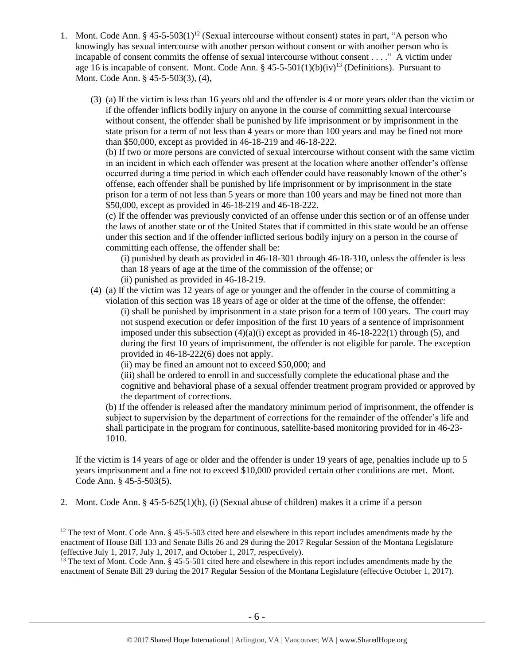- <span id="page-5-0"></span>1. Mont. Code Ann. §  $45-5-503(1)^{12}$  (Sexual intercourse without consent) states in part, "A person who knowingly has sexual intercourse with another person without consent or with another person who is incapable of consent commits the offense of sexual intercourse without consent . . . ." A victim under age 16 is incapable of consent. Mont. Code Ann. § 45-5-501(1)(b)(iv)<sup>13</sup> (Definitions). Pursuant to Mont. Code Ann. § 45-5-503(3), (4),
	- (3) (a) If the victim is less than 16 years old and the offender is 4 or more years older than the victim or if the offender inflicts bodily injury on anyone in the course of committing sexual intercourse without consent, the offender shall be punished by life imprisonment or by imprisonment in the state prison for a term of not less than 4 years or more than 100 years and may be fined not more than \$50,000, except as provided in 46-18-219 and 46-18-222.

(b) If two or more persons are convicted of sexual intercourse without consent with the same victim in an incident in which each offender was present at the location where another offender's offense occurred during a time period in which each offender could have reasonably known of the other's offense, each offender shall be punished by life imprisonment or by imprisonment in the state prison for a term of not less than 5 years or more than 100 years and may be fined not more than \$50,000, except as provided in [46-18-219](http://data.opi.mt.gov/bills/mca/46/18/46-18-219.htm) and [46-18-222.](http://data.opi.mt.gov/bills/mca/46/18/46-18-222.htm)

(c) If the offender was previously convicted of an offense under this section or of an offense under the laws of another state or of the United States that if committed in this state would be an offense under this section and if the offender inflicted serious bodily injury on a person in the course of committing each offense, the offender shall be:

(i) punished by death as provided in 46-18-301 through 46-18-310, unless the offender is less than 18 years of age at the time of the commission of the offense; or (ii) punished as provided in 46-18-219.

(4) (a) If the victim was 12 years of age or younger and the offender in the course of committing a violation of this section was 18 years of age or older at the time of the offense, the offender: (i) shall be punished by imprisonment in a state prison for a term of 100 years. The court may not suspend execution or defer imposition of the first 10 years of a sentence of imprisonment imposed under this subsection  $(4)(a)(i)$  except as provided in 46-18-222(1) through (5), and during the first 10 years of imprisonment, the offender is not eligible for parole. The exception provided in 46-18-222(6) does not apply.

(ii) may be fined an amount not to exceed \$50,000; and

(iii) shall be ordered to enroll in and successfully complete the educational phase and the cognitive and behavioral phase of a sexual offender treatment program provided or approved by the department of corrections.

(b) If the offender is released after the mandatory minimum period of imprisonment, the offender is subject to supervision by the department of corrections for the remainder of the offender's life and shall participate in the program for continuous, satellite-based monitoring provided for in [46-23-](http://data.opi.mt.gov/bills/mca/46/23/46-23-1010.htm) [1010.](http://data.opi.mt.gov/bills/mca/46/23/46-23-1010.htm)

If the victim is 14 years of age or older and the offender is under 19 years of age, penalties include up to 5 years imprisonment and a fine not to exceed \$10,000 provided certain other conditions are met. Mont. Code Ann. § 45-5-503(5).

2. Mont. Code Ann. § 45-5-625(1)(h), (i) (Sexual abuse of children) makes it a crime if a person

 $12$  The text of Mont. Code Ann. § 45-5-503 cited here and elsewhere in this report includes amendments made by the enactment of House Bill 133 and Senate Bills 26 and 29 during the 2017 Regular Session of the Montana Legislature (effective July 1, 2017, July 1, 2017, and October 1, 2017, respectively).

<sup>&</sup>lt;sup>13</sup> The text of Mont. Code Ann.  $\S$  45-5-501 cited here and elsewhere in this report includes amendments made by the enactment of Senate Bill 29 during the 2017 Regular Session of the Montana Legislature (effective October 1, 2017).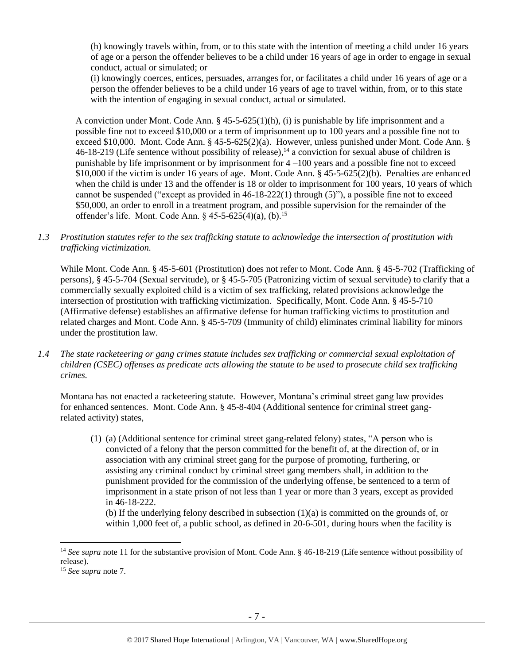(h) knowingly travels within, from, or to this state with the intention of meeting a child under 16 years of age or a person the offender believes to be a child under 16 years of age in order to engage in sexual conduct, actual or simulated; or

(i) knowingly coerces, entices, persuades, arranges for, or facilitates a child under 16 years of age or a person the offender believes to be a child under 16 years of age to travel within, from, or to this state with the intention of engaging in sexual conduct, actual or simulated.

A conviction under Mont. Code Ann. § 45-5-625(1)(h), (i) is punishable by life imprisonment and a possible fine not to exceed \$10,000 or a term of imprisonment up to 100 years and a possible fine not to exceed \$10,000. Mont. Code Ann. § 45-5-625(2)(a). However, unless punished under Mont. Code Ann. § 46-18-219 (Life sentence without possibility of release), <sup>14</sup> a conviction for sexual abuse of children is punishable by life imprisonment or by imprisonment for  $4 -100$  years and a possible fine not to exceed \$10,000 if the victim is under 16 years of age. Mont. Code Ann. § 45-5-625(2)(b). Penalties are enhanced when the child is under 13 and the offender is 18 or older to imprisonment for 100 years, 10 years of which cannot be suspended ("except as provided in 46-18-222(1) through (5)"), a possible fine not to exceed \$50,000, an order to enroll in a treatment program, and possible supervision for the remainder of the offender's life. Mont. Code Ann.  $§$  45-5-625(4)(a), (b).<sup>15</sup>

*1.3 Prostitution statutes refer to the sex trafficking statute to acknowledge the intersection of prostitution with trafficking victimization.* 

While Mont. Code Ann. § 45-5-601 (Prostitution) does not refer to Mont. Code Ann. § 45-5-702 (Trafficking of persons), § 45-5-704 (Sexual servitude), or § 45-5-705 (Patronizing victim of sexual servitude) to clarify that a commercially sexually exploited child is a victim of sex trafficking, related provisions acknowledge the intersection of prostitution with trafficking victimization. Specifically, Mont. Code Ann. § 45-5-710 (Affirmative defense) establishes an affirmative defense for human trafficking victims to prostitution and related charges and Mont. Code Ann. § 45-5-709 (Immunity of child) eliminates criminal liability for minors under the prostitution law.

*1.4 The state racketeering or gang crimes statute includes sex trafficking or commercial sexual exploitation of children (CSEC) offenses as predicate acts allowing the statute to be used to prosecute child sex trafficking crimes.* 

Montana has not enacted a racketeering statute. However, Montana's criminal street gang law provides for enhanced sentences. Mont. Code Ann. § 45-8-404 (Additional sentence for criminal street gangrelated activity) states,

(1) (a) (Additional sentence for criminal street gang-related felony) states, "A person who is convicted of a felony that the person committed for the benefit of, at the direction of, or in association with any criminal street gang for the purpose of promoting, furthering, or assisting any criminal conduct by criminal street gang members shall, in addition to the punishment provided for the commission of the underlying offense, be sentenced to a term of imprisonment in a state prison of not less than 1 year or more than 3 years, except as provided in 46-18-222.

(b) If the underlying felony described in subsection (1)(a) is committed on the grounds of, or within 1,000 feet of, a public school, as defined in 20-6-501, during hours when the facility is

<sup>&</sup>lt;sup>14</sup> See supra note [11](#page-4-0) for the substantive provision of Mont. Code Ann. § 46-18-219 (Life sentence without possibility of release).

<sup>15</sup> *See supra* note [7.](#page-3-0)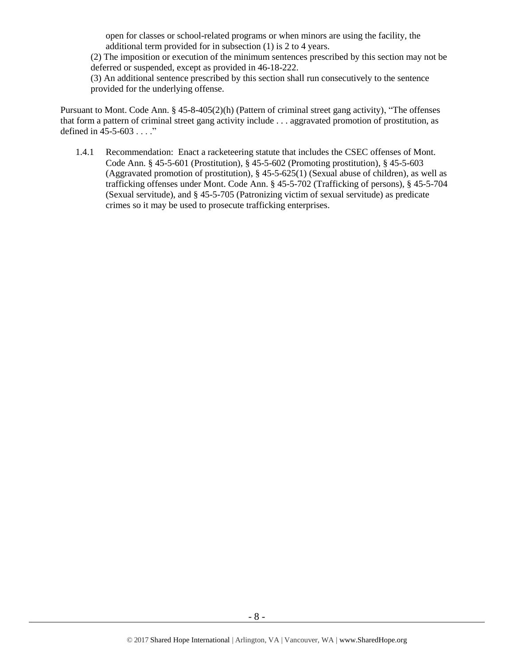open for classes or school-related programs or when minors are using the facility, the additional term provided for in subsection (1) is 2 to 4 years.

(2) The imposition or execution of the minimum sentences prescribed by this section may not be deferred or suspended, except as provided in 46-18-222.

(3) An additional sentence prescribed by this section shall run consecutively to the sentence provided for the underlying offense.

Pursuant to Mont. Code Ann. § 45-8-405(2)(h) (Pattern of criminal street gang activity), "The offenses that form a pattern of criminal street gang activity include . . . aggravated promotion of prostitution, as defined in 45-5-603 . . . ."

1.4.1 Recommendation: Enact a racketeering statute that includes the CSEC offenses of Mont. Code Ann. § 45-5-601 (Prostitution), § 45-5-602 (Promoting prostitution), § 45-5-603 (Aggravated promotion of prostitution), § 45-5-625(1) (Sexual abuse of children), as well as trafficking offenses under Mont. Code Ann. § 45-5-702 (Trafficking of persons), § 45-5-704 (Sexual servitude), and § 45-5-705 (Patronizing victim of sexual servitude) as predicate crimes so it may be used to prosecute trafficking enterprises.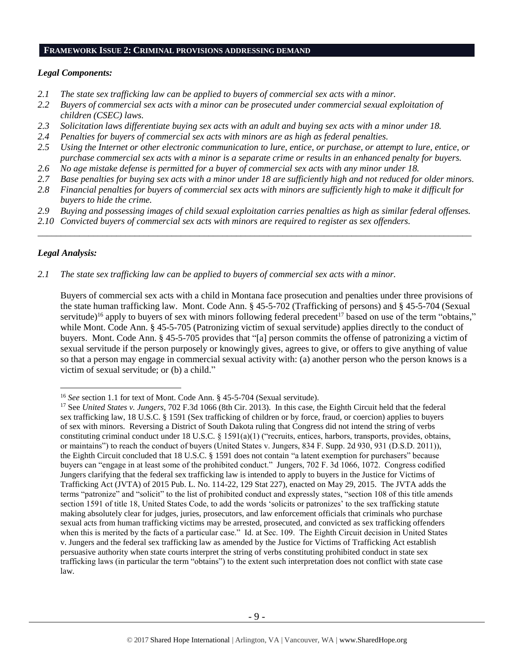#### **FRAMEWORK ISSUE 2: CRIMINAL PROVISIONS ADDRESSING DEMAND**

#### *Legal Components:*

- *2.1 The state sex trafficking law can be applied to buyers of commercial sex acts with a minor.*
- *2.2 Buyers of commercial sex acts with a minor can be prosecuted under commercial sexual exploitation of children (CSEC) laws.*
- *2.3 Solicitation laws differentiate buying sex acts with an adult and buying sex acts with a minor under 18.*
- *2.4 Penalties for buyers of commercial sex acts with minors are as high as federal penalties.*
- *2.5 Using the Internet or other electronic communication to lure, entice, or purchase, or attempt to lure, entice, or purchase commercial sex acts with a minor is a separate crime or results in an enhanced penalty for buyers.*
- *2.6 No age mistake defense is permitted for a buyer of commercial sex acts with any minor under 18.*
- *2.7 Base penalties for buying sex acts with a minor under 18 are sufficiently high and not reduced for older minors.*
- *2.8 Financial penalties for buyers of commercial sex acts with minors are sufficiently high to make it difficult for buyers to hide the crime.*
- *2.9 Buying and possessing images of child sexual exploitation carries penalties as high as similar federal offenses.*

\_\_\_\_\_\_\_\_\_\_\_\_\_\_\_\_\_\_\_\_\_\_\_\_\_\_\_\_\_\_\_\_\_\_\_\_\_\_\_\_\_\_\_\_\_\_\_\_\_\_\_\_\_\_\_\_\_\_\_\_\_\_\_\_\_\_\_\_\_\_\_\_\_\_\_\_\_\_\_\_\_\_\_\_\_\_\_\_\_\_\_\_\_\_

*2.10 Convicted buyers of commercial sex acts with minors are required to register as sex offenders.* 

## *Legal Analysis:*

 $\overline{a}$ 

*2.1 The state sex trafficking law can be applied to buyers of commercial sex acts with a minor.*

Buyers of commercial sex acts with a child in Montana face prosecution and penalties under three provisions of the state human trafficking law. Mont. Code Ann. § 45-5-702 (Trafficking of persons) and § 45-5-704 (Sexual servitude)<sup>16</sup> apply to buyers of sex with minors following federal precedent<sup>17</sup> based on use of the term "obtains," while Mont. Code Ann. § 45-5-705 (Patronizing victim of sexual servitude) applies directly to the conduct of buyers. Mont. Code Ann. § 45-5-705 provides that "[a] person commits the offense of patronizing a victim of sexual servitude if the person purposely or knowingly gives, agrees to give, or offers to give anything of value so that a person may engage in commercial sexual activity with: (a) another person who the person knows is a victim of sexual servitude; or (b) a child."

<sup>16</sup> *See* section 1.1 for text of Mont. Code Ann. § 45-5-704 (Sexual servitude).

<sup>17</sup> See *United States v. Jungers*, 702 F.3d 1066 (8th Cir. 2013). In this case, the Eighth Circuit held that the federal sex trafficking law, 18 U.S.C. § 1591 (Sex trafficking of children or by force, fraud, or coercion) applies to buyers of sex with minors. Reversing a District of South Dakota ruling that Congress did not intend the string of verbs constituting criminal conduct under 18 U.S.C. § 1591(a)(1) ("recruits, entices, harbors, transports, provides, obtains, or maintains") to reach the conduct of buyers (United States v. Jungers, 834 F. Supp. 2d 930, 931 (D.S.D. 2011)), the Eighth Circuit concluded that 18 U.S.C. § 1591 does not contain "a latent exemption for purchasers" because buyers can "engage in at least some of the prohibited conduct." Jungers, 702 F. 3d 1066, 1072. Congress codified Jungers clarifying that the federal sex trafficking law is intended to apply to buyers in the Justice for Victims of Trafficking Act (JVTA) of 2015 Pub. L. No. 114-22, 129 Stat 227), enacted on May 29, 2015. The JVTA adds the terms "patronize" and "solicit" to the list of prohibited conduct and expressly states, "section 108 of this title amends section 1591 of title 18, United States Code, to add the words 'solicits or patronizes' to the sex trafficking statute making absolutely clear for judges, juries, prosecutors, and law enforcement officials that criminals who purchase sexual acts from human trafficking victims may be arrested, prosecuted, and convicted as sex trafficking offenders when this is merited by the facts of a particular case." Id. at Sec. 109. The Eighth Circuit decision in United States v. Jungers and the federal sex trafficking law as amended by the Justice for Victims of Trafficking Act establish persuasive authority when state courts interpret the string of verbs constituting prohibited conduct in state sex trafficking laws (in particular the term "obtains") to the extent such interpretation does not conflict with state case law.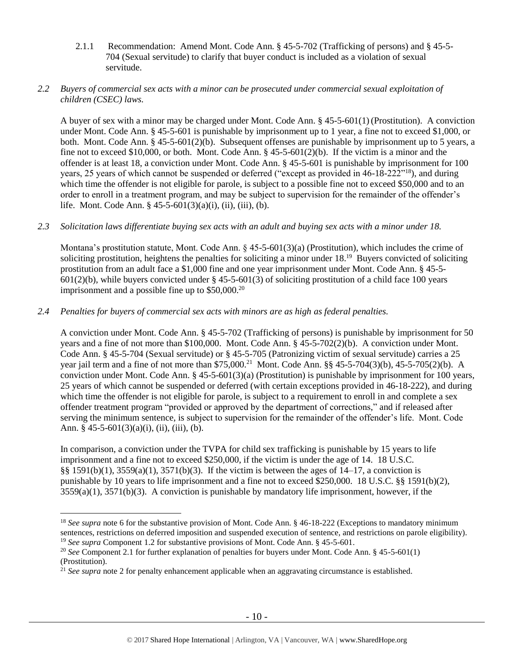2.1.1 Recommendation: Amend Mont. Code Ann. § 45-5-702 (Trafficking of persons) and § 45-5- 704 (Sexual servitude) to clarify that buyer conduct is included as a violation of sexual servitude.

## *2.2 Buyers of commercial sex acts with a minor can be prosecuted under commercial sexual exploitation of children (CSEC) laws.*

A buyer of sex with a minor may be charged under Mont. Code Ann. § 45-5-601(1) (Prostitution). A conviction under Mont. Code Ann. § 45-5-601 is punishable by imprisonment up to 1 year, a fine not to exceed \$1,000, or both. Mont. Code Ann. § 45-5-601(2)(b). Subsequent offenses are punishable by imprisonment up to 5 years, a fine not to exceed \$10,000, or both. Mont. Code Ann.  $\S$  45-5-601(2)(b). If the victim is a minor and the offender is at least 18, a conviction under Mont. Code Ann. § 45-5-601 is punishable by imprisonment for 100 years, 25 years of which cannot be suspended or deferred ("except as provided in 46-18-222"<sup>18</sup>), and during which time the offender is not eligible for parole, is subject to a possible fine not to exceed \$50,000 and to an order to enroll in a treatment program, and may be subject to supervision for the remainder of the offender's life. Mont. Code Ann. §  $45-5-601(3)(a)(i)$ , (ii), (iii), (b).

## *2.3 Solicitation laws differentiate buying sex acts with an adult and buying sex acts with a minor under 18.*

Montana's prostitution statute, Mont. Code Ann.  $\S$  45-5-601(3)(a) (Prostitution), which includes the crime of soliciting prostitution, heightens the penalties for soliciting a minor under 18.<sup>19</sup> Buyers convicted of soliciting prostitution from an adult face a \$1,000 fine and one year imprisonment under Mont. Code Ann. § 45-5-  $601(2)(b)$ , while buyers convicted under § 45-5-601(3) of soliciting prostitution of a child face 100 years imprisonment and a possible fine up to  $$50,000.<sup>20</sup>$ 

## *2.4 Penalties for buyers of commercial sex acts with minors are as high as federal penalties.*

A conviction under Mont. Code Ann. § 45-5-702 (Trafficking of persons) is punishable by imprisonment for 50 years and a fine of not more than \$100,000. Mont. Code Ann. § 45-5-702(2)(b). A conviction under Mont. Code Ann. § 45-5-704 (Sexual servitude) or § 45-5-705 (Patronizing victim of sexual servitude) carries a 25 year jail term and a fine of not more than \$75,000.<sup>21</sup> Mont. Code Ann. §§ 45-5-704(3)(b), 45-5-705(2)(b). A conviction under Mont. Code Ann. § 45-5-601(3)(a) (Prostitution) is punishable by imprisonment for 100 years, 25 years of which cannot be suspended or deferred (with certain exceptions provided in 46-18-222), and during which time the offender is not eligible for parole, is subject to a requirement to enroll in and complete a sex offender treatment program "provided or approved by the department of corrections," and if released after serving the minimum sentence, is subject to supervision for the remainder of the offender's life. Mont. Code Ann.  $§$  45-5-601(3)(a)(i), (ii), (iii), (b).

In comparison, a conviction under the TVPA for child sex trafficking is punishable by 15 years to life imprisonment and a fine not to exceed \$250,000, if the victim is under the age of 14. 18 U.S.C. §§ 1591(b)(1), 3559(a)(1), 3571(b)(3). If the victim is between the ages of 14–17, a conviction is punishable by 10 years to life imprisonment and a fine not to exceed \$250,000. 18 U.S.C. §§ 1591(b)(2),  $3559(a)(1)$ ,  $3571(b)(3)$ . A conviction is punishable by mandatory life imprisonment, however, if the

<sup>&</sup>lt;sup>18</sup> *See supra* note [6](#page-2-0) for the substantive provision of Mont. Code Ann. § 46-18-222 (Exceptions to mandatory minimum sentences, restrictions on deferred imposition and suspended execution of sentence, and restrictions on parole eligibility). <sup>19</sup> *See supra* Component 1.2 for substantive provisions of Mont. Code Ann. § 45-5-601.

<sup>20</sup> *See* Component 2.1 for further explanation of penalties for buyers under Mont. Code Ann. § 45-5-601(1) (Prostitution).

<sup>&</sup>lt;sup>21</sup> See supra note [2](#page-1-0) for penalty enhancement applicable when an aggravating circumstance is established.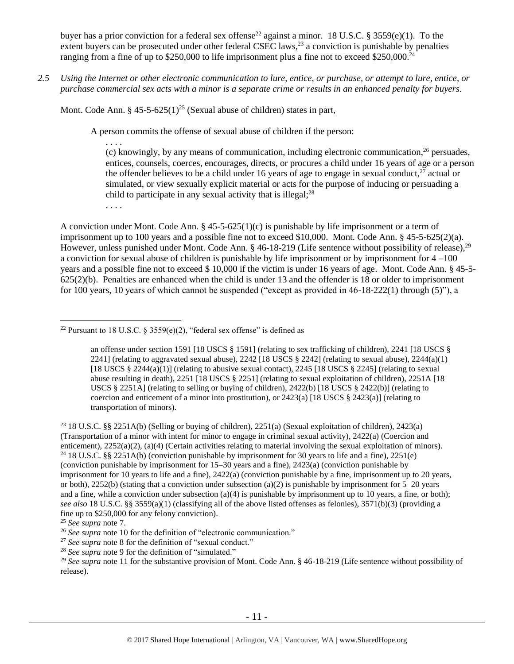buyer has a prior conviction for a federal sex offense<sup>22</sup> against a minor. 18 U.S.C. § 3559(e)(1). To the extent buyers can be prosecuted under other federal CSEC laws,<sup>23</sup> a conviction is punishable by penalties ranging from a fine of up to \$250,000 to life imprisonment plus a fine not to exceed \$250,000.<sup>24</sup>

*2.5 Using the Internet or other electronic communication to lure, entice, or purchase, or attempt to lure, entice, or purchase commercial sex acts with a minor is a separate crime or results in an enhanced penalty for buyers.*

Mont. Code Ann. § 45-5-625(1)<sup>25</sup> (Sexual abuse of children) states in part,

A person commits the offense of sexual abuse of children if the person:

<span id="page-10-0"></span>. . . . (c) knowingly, by any means of communication, including electronic communication,  $^{26}$  persuades, entices, counsels, coerces, encourages, directs, or procures a child under 16 years of age or a person the offender believes to be a child under 16 years of age to engage in sexual conduct, $^{27}$  actual or simulated, or view sexually explicit material or acts for the purpose of inducing or persuading a child to participate in any sexual activity that is illegal;<sup>28</sup>

. . . .

A conviction under Mont. Code Ann. § 45-5-625(1)(c) is punishable by life imprisonment or a term of imprisonment up to 100 years and a possible fine not to exceed \$10,000. Mont. Code Ann. § 45-5-625(2)(a). However, unless punished under Mont. Code Ann. § 46-18-219 (Life sentence without possibility of release),<sup>29</sup> a conviction for sexual abuse of children is punishable by life imprisonment or by imprisonment for 4 –100 years and a possible fine not to exceed \$ 10,000 if the victim is under 16 years of age. Mont. Code Ann. § 45-5- 625(2)(b). Penalties are enhanced when the child is under 13 and the offender is 18 or older to imprisonment for 100 years, 10 years of which cannot be suspended ("except as provided in 46-18-222(1) through (5)"), a

 $\overline{a}$ 

<sup>28</sup> *See supra* note [9](#page-3-2) for the definition of "simulated."

<sup>&</sup>lt;sup>22</sup> Pursuant to 18 U.S.C. § 3559(e)(2), "federal sex offense" is defined as

an offense under section 1591 [18 USCS § 1591] (relating to sex trafficking of children), 2241 [18 USCS § 2241] (relating to aggravated sexual abuse),  $2242$  [18 USCS § 2242] (relating to sexual abuse),  $2244(a)(1)$ [18 USCS  $\S 2244(a)(1)$ ] (relating to abusive sexual contact), 2245 [18 USCS  $\S 2245$ ] (relating to sexual abuse resulting in death), 2251 [18 USCS § 2251] (relating to sexual exploitation of children), 2251A [18 USCS § 2251A] (relating to selling or buying of children),  $2422(b)$  [18 USCS § 2422(b)] (relating to coercion and enticement of a minor into prostitution), or  $2423(a)$  [18 USCS §  $2423(a)$ ] (relating to transportation of minors).

<sup>&</sup>lt;sup>23</sup> 18 U.S.C. §§ 2251A(b) (Selling or buying of children), 2251(a) (Sexual exploitation of children), 2423(a) (Transportation of a minor with intent for minor to engage in criminal sexual activity), 2422(a) (Coercion and enticement), 2252(a)(2), (a)(4) (Certain activities relating to material involving the sexual exploitation of minors). <sup>24</sup> 18 U.S.C. §§ 2251A(b) (conviction punishable by imprisonment for 30 years to life and a fine), 2251(e) (conviction punishable by imprisonment for 15–30 years and a fine), 2423(a) (conviction punishable by imprisonment for 10 years to life and a fine), 2422(a) (conviction punishable by a fine, imprisonment up to 20 years, or both), 2252(b) (stating that a conviction under subsection (a)(2) is punishable by imprisonment for  $5-20$  years and a fine, while a conviction under subsection (a)(4) is punishable by imprisonment up to 10 years, a fine, or both); *see also* 18 U.S.C. §§ 3559(a)(1) (classifying all of the above listed offenses as felonies), 3571(b)(3) (providing a fine up to \$250,000 for any felony conviction).

<sup>25</sup> *See supra* note [7.](#page-3-0)

<sup>&</sup>lt;sup>26</sup> See supra note [10](#page-4-1) for the definition of "electronic communication."

<sup>27</sup> *See supra* note [8](#page-3-1) for the definition of "sexual conduct."

<sup>&</sup>lt;sup>29</sup> See supra note [11](#page-4-0) for the substantive provision of Mont. Code Ann. § 46-18-219 (Life sentence without possibility of release).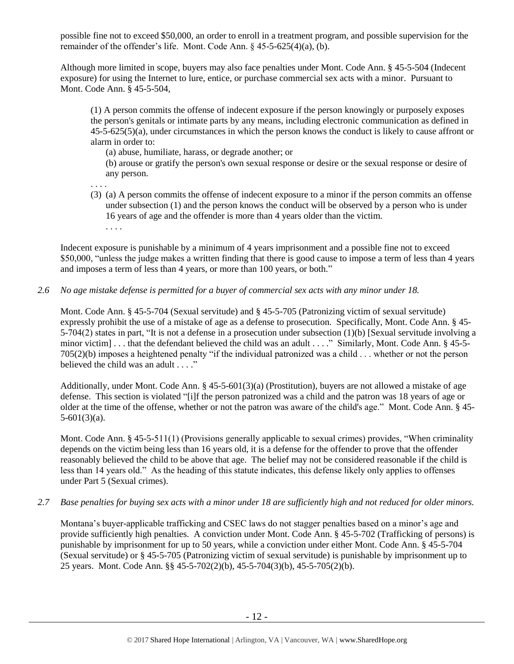possible fine not to exceed \$50,000, an order to enroll in a treatment program, and possible supervision for the remainder of the offender's life. Mont. Code Ann. § 45-5-625(4)(a), (b).

Although more limited in scope, buyers may also face penalties under Mont. Code Ann. § 45-5-504 (Indecent exposure) for using the Internet to lure, entice, or purchase commercial sex acts with a minor. Pursuant to Mont. Code Ann. § 45-5-504,

(1) A person commits the offense of indecent exposure if the person knowingly or purposely exposes the person's genitals or intimate parts by any means, including electronic communication as defined in 45-5-625(5)(a), under circumstances in which the person knows the conduct is likely to cause affront or alarm in order to:

(a) abuse, humiliate, harass, or degrade another; or

(b) arouse or gratify the person's own sexual response or desire or the sexual response or desire of any person.

- . . . .
- (3) (a) A person commits the offense of indecent exposure to a minor if the person commits an offense under subsection (1) and the person knows the conduct will be observed by a person who is under 16 years of age and the offender is more than 4 years older than the victim.

. . . .

Indecent exposure is punishable by a minimum of 4 years imprisonment and a possible fine not to exceed \$50,000, "unless the judge makes a written finding that there is good cause to impose a term of less than 4 years and imposes a term of less than 4 years, or more than 100 years, or both."

## *2.6 No age mistake defense is permitted for a buyer of commercial sex acts with any minor under 18.*

Mont. Code Ann. § 45-5-704 (Sexual servitude) and § 45-5-705 (Patronizing victim of sexual servitude) expressly prohibit the use of a mistake of age as a defense to prosecution. Specifically, Mont. Code Ann. § 45- 5-704(2) states in part, "It is not a defense in a prosecution under subsection (1)(b) [Sexual servitude involving a minor victim] . . . that the defendant believed the child was an adult . . . ." Similarly, Mont. Code Ann. § 45-5-705(2)(b) imposes a heightened penalty "if the individual patronized was a child . . . whether or not the person believed the child was an adult . . . ."

Additionally, under Mont. Code Ann. § 45-5-601(3)(a) (Prostitution), buyers are not allowed a mistake of age defense. This section is violated "[i]f the person patronized was a child and the patron was 18 years of age or older at the time of the offense, whether or not the patron was aware of the child's age." Mont. Code Ann. § 45-  $5-601(3)(a)$ .

Mont. Code Ann. § 45-5-511(1) (Provisions generally applicable to sexual crimes) provides, "When criminality depends on the victim being less than 16 years old, it is a defense for the offender to prove that the offender reasonably believed the child to be above that age. The belief may not be considered reasonable if the child is less than 14 years old." As the heading of this statute indicates, this defense likely only applies to offenses under Part 5 (Sexual crimes).

## *2.7 Base penalties for buying sex acts with a minor under 18 are sufficiently high and not reduced for older minors.*

Montana's buyer-applicable trafficking and CSEC laws do not stagger penalties based on a minor's age and provide sufficiently high penalties. A conviction under Mont. Code Ann. § 45-5-702 (Trafficking of persons) is punishable by imprisonment for up to 50 years, while a conviction under either Mont. Code Ann. § 45-5-704 (Sexual servitude) or § 45-5-705 (Patronizing victim of sexual servitude) is punishable by imprisonment up to 25 years. Mont. Code Ann. §§ 45-5-702(2)(b), 45-5-704(3)(b), 45-5-705(2)(b).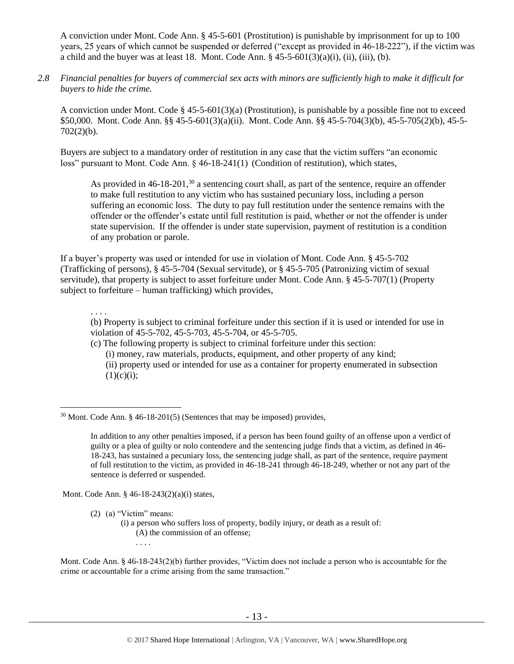A conviction under Mont. Code Ann. § 45-5-601 (Prostitution) is punishable by imprisonment for up to 100 years, 25 years of which cannot be suspended or deferred ("except as provided in 46-18-222"), if the victim was a child and the buyer was at least 18. Mont. Code Ann.  $\S$  45-5-601(3)(a)(i), (ii), (iii), (b).

*2.8 Financial penalties for buyers of commercial sex acts with minors are sufficiently high to make it difficult for buyers to hide the crime.* 

A conviction under Mont. Code § 45-5-601(3)(a) (Prostitution), is punishable by a possible fine not to exceed \$50,000. Mont. Code Ann. §§ 45-5-601(3)(a)(ii). Mont. Code Ann. §§ 45-5-704(3)(b), 45-5-705(2)(b), 45-5-  $702(2)(b)$ .

Buyers are subject to a mandatory order of restitution in any case that the victim suffers "an economic loss" pursuant to Mont. Code Ann. § 46-18-241(1) (Condition of restitution), which states,

<span id="page-12-0"></span>As provided in  $46-18-201$ ,<sup>30</sup> a sentencing court shall, as part of the sentence, require an offender to make full restitution to any victim who has sustained pecuniary loss, including a person suffering an economic loss. The duty to pay full restitution under the sentence remains with the offender or the offender's estate until full restitution is paid, whether or not the offender is under state supervision. If the offender is under state supervision, payment of restitution is a condition of any probation or parole.

If a buyer's property was used or intended for use in violation of Mont. Code Ann. § 45-5-702 (Trafficking of persons), § 45-5-704 (Sexual servitude), or § 45-5-705 (Patronizing victim of sexual servitude), that property is subject to asset forfeiture under Mont. Code Ann. § 45-5-707(1) (Property subject to forfeiture – human trafficking) which provides,

. . . .

 $\overline{a}$ 

(b) Property is subject to criminal forfeiture under this section if it is used or intended for use in violation of 45-5-702, 45-5-703, 45-5-704, or 45-5-705.

(c) The following property is subject to criminal forfeiture under this section: (i) money, raw materials, products, equipment, and other property of any kind; (ii) property used or intended for use as a container for property enumerated in subsection  $(1)(c)(i);$ 

 $30$  Mont. Code Ann. § 46-18-201(5) (Sentences that may be imposed) provides,

Mont. Code Ann. § 46-18-243(2)(a)(i) states,

. . . .

(2) (a) "Victim" means:

(i) a person who suffers loss of property, bodily injury, or death as a result of: (A) the commission of an offense;

Mont. Code Ann. § 46-18-243(2)(b) further provides, "Victim does not include a person who is accountable for the crime or accountable for a crime arising from the same transaction."

In addition to any other penalties imposed, if a person has been found guilty of an offense upon a verdict of guilty or a plea of guilty or nolo contendere and the sentencing judge finds that a victim, as defined in 46- 18-243, has sustained a pecuniary loss, the sentencing judge shall, as part of the sentence, require payment of full restitution to the victim, as provided in 46-18-241 through 46-18-249, whether or not any part of the sentence is deferred or suspended.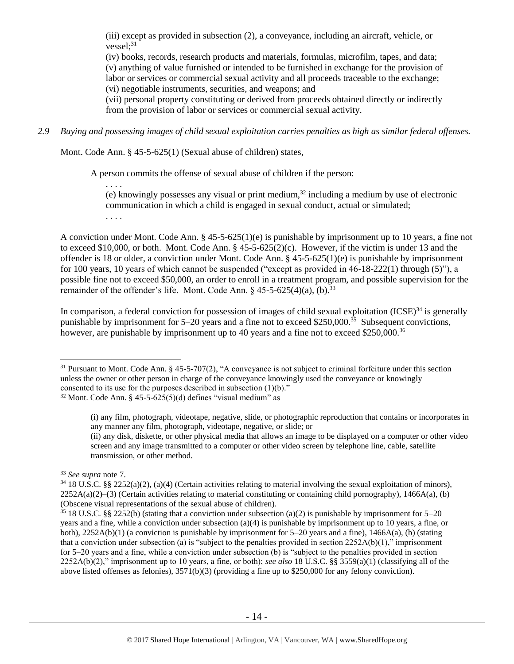<span id="page-13-0"></span>(iii) except as provided in subsection (2), a conveyance, including an aircraft, vehicle, or  $vessel:$ <sup>31</sup>

(iv) books, records, research products and materials, formulas, microfilm, tapes, and data; (v) anything of value furnished or intended to be furnished in exchange for the provision of labor or services or commercial sexual activity and all proceeds traceable to the exchange; (vi) negotiable instruments, securities, and weapons; and

(vii) personal property constituting or derived from proceeds obtained directly or indirectly from the provision of labor or services or commercial sexual activity.

*2.9 Buying and possessing images of child sexual exploitation carries penalties as high as similar federal offenses.*

Mont. Code Ann. § 45-5-625(1) (Sexual abuse of children) states,

A person commits the offense of sexual abuse of children if the person:

. . . . (e) knowingly possesses any visual or print medium, $32$  including a medium by use of electronic communication in which a child is engaged in sexual conduct, actual or simulated; . . . .

A conviction under Mont. Code Ann. § 45-5-625(1)(e) is punishable by imprisonment up to 10 years, a fine not to exceed \$10,000, or both. Mont. Code Ann. § 45-5-625(2)(c). However, if the victim is under 13 and the offender is 18 or older, a conviction under Mont. Code Ann. § 45-5-625(1)(e) is punishable by imprisonment for 100 years, 10 years of which cannot be suspended ("except as provided in 46-18-222(1) through (5)"), a possible fine not to exceed \$50,000, an order to enroll in a treatment program, and possible supervision for the remainder of the offender's life. Mont. Code Ann.  $\S$  45-5-625(4)(a), (b).<sup>33</sup>

In comparison, a federal conviction for possession of images of child sexual exploitation  $(ICSE)^{34}$  is generally punishable by imprisonment for 5–20 years and a fine not to exceed \$250,000.<sup>35</sup> Subsequent convictions, however, are punishable by imprisonment up to 40 years and a fine not to exceed \$250,000.<sup>36</sup>

 $31$  Pursuant to Mont. Code Ann. § 45-5-707(2), "A conveyance is not subject to criminal forfeiture under this section unless the owner or other person in charge of the conveyance knowingly used the conveyance or knowingly consented to its use for the purposes described in subsection (1)(b)."

(ii) any disk, diskette, or other physical media that allows an image to be displayed on a computer or other video screen and any image transmitted to a computer or other video screen by telephone line, cable, satellite transmission, or other method.

 $32$  Mont. Code Ann. § 45-5-625(5)(d) defines "visual medium" as

<sup>(</sup>i) any film, photograph, videotape, negative, slide, or photographic reproduction that contains or incorporates in any manner any film, photograph, videotape, negative, or slide; or

<sup>33</sup> *See supra* note [7.](#page-3-0)

 $34\,18$  U.S.C. §§ 2252(a)(2), (a)(4) (Certain activities relating to material involving the sexual exploitation of minors),  $2252A(a)(2)$ –(3) (Certain activities relating to material constituting or containing child pornography), 1466A(a), (b) (Obscene visual representations of the sexual abuse of children).

<sup>35</sup> 18 U.S.C. §§ 2252(b) (stating that a conviction under subsection (a)(2) is punishable by imprisonment for 5–20 years and a fine, while a conviction under subsection (a)(4) is punishable by imprisonment up to 10 years, a fine, or both),  $2252A(b)(1)$  (a conviction is punishable by imprisonment for  $5-20$  years and a fine),  $1466A(a)$ , (b) (stating that a conviction under subsection (a) is "subject to the penalties provided in section  $2252A(b)(1)$ ," imprisonment for 5–20 years and a fine, while a conviction under subsection (b) is "subject to the penalties provided in section 2252A(b)(2)," imprisonment up to 10 years, a fine, or both); *see also* 18 U.S.C. §§ 3559(a)(1) (classifying all of the above listed offenses as felonies), 3571(b)(3) (providing a fine up to \$250,000 for any felony conviction).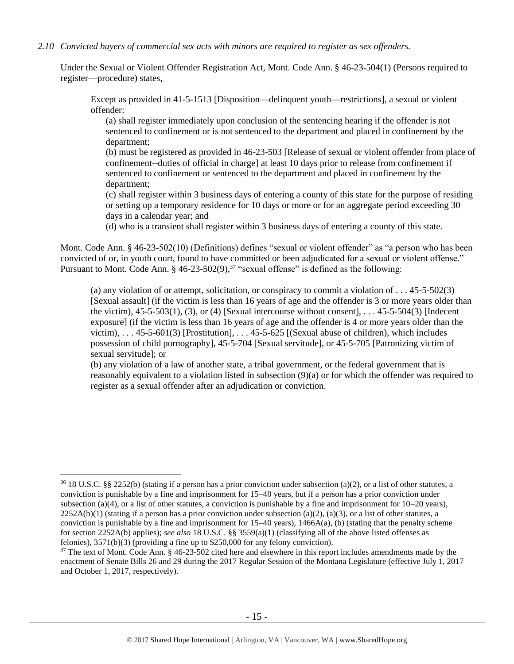#### *2.10 Convicted buyers of commercial sex acts with minors are required to register as sex offenders.*

Under the Sexual or Violent Offender Registration Act, Mont. Code Ann. § 46-23-504(1) (Persons required to register—procedure) states,

Except as provided in 41-5-1513 [Disposition—delinquent youth—restrictions], a sexual or violent offender:

(a) shall register immediately upon conclusion of the sentencing hearing if the offender is not sentenced to confinement or is not sentenced to the department and placed in confinement by the department;

(b) must be registered as provided in 46-23-503 [Release of sexual or violent offender from place of confinement--duties of official in charge] at least 10 days prior to release from confinement if sentenced to confinement or sentenced to the department and placed in confinement by the department;

(c) shall register within 3 business days of entering a county of this state for the purpose of residing or setting up a temporary residence for 10 days or more or for an aggregate period exceeding 30 days in a calendar year; and

<span id="page-14-0"></span>(d) who is a transient shall register within 3 business days of entering a county of this state.

Mont. Code Ann. § 46-23-502(10) (Definitions) defines "sexual or violent offender" as "a person who has been convicted of or, in youth court, found to have committed or been adjudicated for a sexual or violent offense." Pursuant to Mont. Code Ann. § 46-23-502(9),<sup>37</sup> "sexual offense" is defined as the following:

(a) any violation of or attempt, solicitation, or conspiracy to commit a violation of  $\dots$  45-5-502(3) [Sexual assault] (if the victim is less than 16 years of age and the offender is 3 or more years older than the victim),  $45-5-503(1)$ ,  $(3)$ , or  $(4)$  [Sexual intercourse without consent], ...  $45-5-504(3)$  [Indecent] exposure] (if the victim is less than 16 years of age and the offender is 4 or more years older than the victim),  $\dots$  45-5-601(3) [Prostitution],  $\dots$  45-5-625 [(Sexual abuse of children), which includes possession of child pornography], 45-5-704 [Sexual servitude], or 45-5-705 [Patronizing victim of sexual servitude]; or

(b) any violation of a law of another state, a tribal government, or the federal government that is reasonably equivalent to a violation listed in subsection (9)(a) or for which the offender was required to register as a sexual offender after an adjudication or conviction.

 $36\,18$  U.S.C. §§ 2252(b) (stating if a person has a prior conviction under subsection (a)(2), or a list of other statutes, a conviction is punishable by a fine and imprisonment for 15–40 years, but if a person has a prior conviction under subsection (a)(4), or a list of other statutes, a conviction is punishable by a fine and imprisonment for  $10-20$  years),  $2252A(b)(1)$  (stating if a person has a prior conviction under subsection (a)(2), (a)(3), or a list of other statutes, a conviction is punishable by a fine and imprisonment for  $15-40$  years),  $1466A(a)$ , (b) (stating that the penalty scheme for section 2252A(b) applies); *see also* 18 U.S.C. §§ 3559(a)(1) (classifying all of the above listed offenses as felonies), 3571(b)(3) (providing a fine up to \$250,000 for any felony conviction).

<sup>&</sup>lt;sup>37</sup> The text of Mont. Code Ann. § 46-23-502 cited here and elsewhere in this report includes amendments made by the enactment of Senate Bills 26 and 29 during the 2017 Regular Session of the Montana Legislature (effective July 1, 2017 and October 1, 2017, respectively).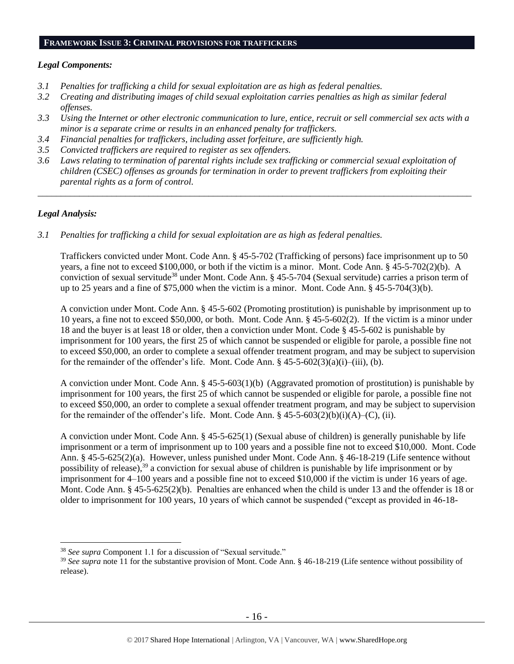#### **FRAMEWORK ISSUE 3: CRIMINAL PROVISIONS FOR TRAFFICKERS**

#### *Legal Components:*

- *3.1 Penalties for trafficking a child for sexual exploitation are as high as federal penalties.*
- *3.2 Creating and distributing images of child sexual exploitation carries penalties as high as similar federal offenses.*
- *3.3 Using the Internet or other electronic communication to lure, entice, recruit or sell commercial sex acts with a minor is a separate crime or results in an enhanced penalty for traffickers.*
- *3.4 Financial penalties for traffickers, including asset forfeiture, are sufficiently high.*
- *3.5 Convicted traffickers are required to register as sex offenders.*
- *3.6 Laws relating to termination of parental rights include sex trafficking or commercial sexual exploitation of children (CSEC) offenses as grounds for termination in order to prevent traffickers from exploiting their parental rights as a form of control.*

*\_\_\_\_\_\_\_\_\_\_\_\_\_\_\_\_\_\_\_\_\_\_\_\_\_\_\_\_\_\_\_\_\_\_\_\_\_\_\_\_\_\_\_\_\_\_\_\_\_\_\_\_\_\_\_\_\_\_\_\_\_\_\_\_\_\_\_\_\_\_\_\_\_\_\_\_\_\_\_\_\_\_\_\_\_\_\_\_\_\_\_\_\_\_*

## *Legal Analysis:*

 $\overline{a}$ 

*3.1 Penalties for trafficking a child for sexual exploitation are as high as federal penalties.* 

Traffickers convicted under Mont. Code Ann. § 45-5-702 (Trafficking of persons) face imprisonment up to 50 years, a fine not to exceed \$100,000, or both if the victim is a minor. Mont. Code Ann. § 45-5-702(2)(b). A conviction of sexual servitude<sup>38</sup> under Mont. Code Ann. § 45-5-704 (Sexual servitude) carries a prison term of up to 25 years and a fine of \$75,000 when the victim is a minor. Mont. Code Ann. § 45-5-704(3)(b).

A conviction under Mont. Code Ann. § 45-5-602 (Promoting prostitution) is punishable by imprisonment up to 10 years, a fine not to exceed \$50,000, or both. Mont. Code Ann. § 45-5-602(2). If the victim is a minor under 18 and the buyer is at least 18 or older, then a conviction under Mont. Code § 45-5-602 is punishable by imprisonment for 100 years, the first 25 of which cannot be suspended or eligible for parole, a possible fine not to exceed \$50,000, an order to complete a sexual offender treatment program, and may be subject to supervision for the remainder of the offender's life. Mont. Code Ann.  $\S$  45-5-602(3)(a)(i)–(iii), (b).

A conviction under Mont. Code Ann. § 45-5-603(1)(b) (Aggravated promotion of prostitution) is punishable by imprisonment for 100 years, the first 25 of which cannot be suspended or eligible for parole, a possible fine not to exceed \$50,000, an order to complete a sexual offender treatment program, and may be subject to supervision for the remainder of the offender's life. Mont. Code Ann. § 45-5-603(2)(b)(i)(A)–(C), (ii).

A conviction under Mont. Code Ann. § 45-5-625(1) (Sexual abuse of children) is generally punishable by life imprisonment or a term of imprisonment up to 100 years and a possible fine not to exceed \$10,000. Mont. Code Ann. § 45-5-625(2)(a). However, unless punished under Mont. Code Ann. § 46-18-219 (Life sentence without possibility of release),<sup>39</sup> a conviction for sexual abuse of children is punishable by life imprisonment or by imprisonment for 4–100 years and a possible fine not to exceed \$10,000 if the victim is under 16 years of age. Mont. Code Ann. § 45-5-625(2)(b). Penalties are enhanced when the child is under 13 and the offender is 18 or older to imprisonment for 100 years, 10 years of which cannot be suspended ("except as provided in 46-18-

<sup>38</sup> *See supra* Component 1.1 for a discussion of "Sexual servitude."

<sup>39</sup> *See supra* note [11](#page-4-0) for the substantive provision of Mont. Code Ann. § 46-18-219 (Life sentence without possibility of release).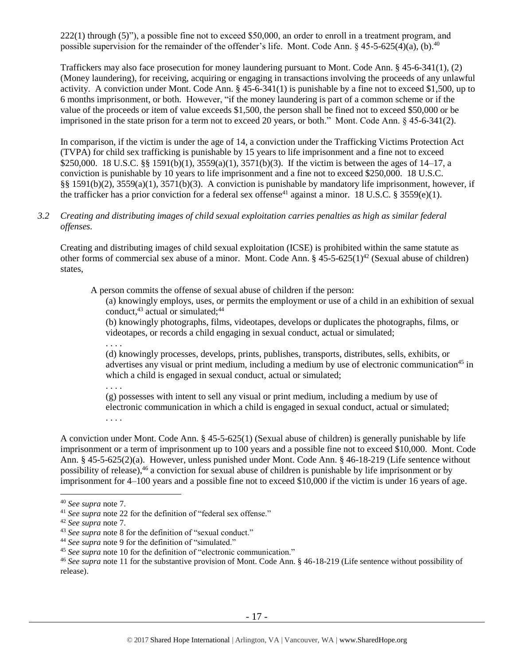222(1) through (5)"), a possible fine not to exceed \$50,000, an order to enroll in a treatment program, and possible supervision for the remainder of the offender's life. Mont. Code Ann. § 45-5-625(4)(a), (b).<sup>40</sup>

Traffickers may also face prosecution for money laundering pursuant to Mont. Code Ann. § 45-6-341(1), (2) (Money laundering), for receiving, acquiring or engaging in transactions involving the proceeds of any unlawful activity. A conviction under Mont. Code Ann. § 45-6-341(1) is punishable by a fine not to exceed \$1,500, up to 6 months imprisonment, or both. However, "if the money laundering is part of a common scheme or if the value of the proceeds or item of value exceeds \$1,500, the person shall be fined not to exceed \$50,000 or be imprisoned in the state prison for a term not to exceed 20 years, or both." Mont. Code Ann. § 45-6-341(2).

In comparison, if the victim is under the age of 14, a conviction under the Trafficking Victims Protection Act (TVPA) for child sex trafficking is punishable by 15 years to life imprisonment and a fine not to exceed \$250,000. 18 U.S.C. §§ 1591(b)(1), 3559(a)(1), 3571(b)(3). If the victim is between the ages of 14–17, a conviction is punishable by 10 years to life imprisonment and a fine not to exceed \$250,000. 18 U.S.C. §§ 1591(b)(2), 3559(a)(1), 3571(b)(3). A conviction is punishable by mandatory life imprisonment, however, if the trafficker has a prior conviction for a federal sex offense<sup>41</sup> against a minor. 18 U.S.C. § 3559(e)(1).

*3.2 Creating and distributing images of child sexual exploitation carries penalties as high as similar federal offenses.*

Creating and distributing images of child sexual exploitation (ICSE) is prohibited within the same statute as other forms of commercial sex abuse of a minor. Mont. Code Ann.  $\S$  45-5-625(1)<sup>42</sup> (Sexual abuse of children) states,

A person commits the offense of sexual abuse of children if the person:

(a) knowingly employs, uses, or permits the employment or use of a child in an exhibition of sexual conduct. $43$  actual or simulated: $44$ 

(b) knowingly photographs, films, videotapes, develops or duplicates the photographs, films, or videotapes, or records a child engaging in sexual conduct, actual or simulated;

. . . .

(d) knowingly processes, develops, prints, publishes, transports, distributes, sells, exhibits, or advertises any visual or print medium, including a medium by use of electronic communication<sup>45</sup> in which a child is engaged in sexual conduct, actual or simulated;

. . . .

(g) possesses with intent to sell any visual or print medium, including a medium by use of electronic communication in which a child is engaged in sexual conduct, actual or simulated; . . . .

A conviction under Mont. Code Ann. § 45-5-625(1) (Sexual abuse of children) is generally punishable by life imprisonment or a term of imprisonment up to 100 years and a possible fine not to exceed \$10,000. Mont. Code Ann. § 45-5-625(2)(a). However, unless punished under Mont. Code Ann. § 46-18-219 (Life sentence without possibility of release), <sup>46</sup> a conviction for sexual abuse of children is punishable by life imprisonment or by imprisonment for 4–100 years and a possible fine not to exceed \$10,000 if the victim is under 16 years of age.

<sup>40</sup> *See supra* note [7.](#page-3-0)

<sup>41</sup> *See supra* note [22](#page-10-0) for the definition of "federal sex offense."

<sup>42</sup> *See supra* note [7.](#page-3-0)

<sup>43</sup> *See supra* note [8](#page-3-1) for the definition of "sexual conduct."

<sup>44</sup> *See supra* note [9](#page-3-2) for the definition of "simulated."

<sup>45</sup> *See supra* note [10](#page-4-1) for the definition of "electronic communication."

<sup>46</sup> *See supra* note [11](#page-4-0) for the substantive provision of Mont. Code Ann. § 46-18-219 (Life sentence without possibility of release).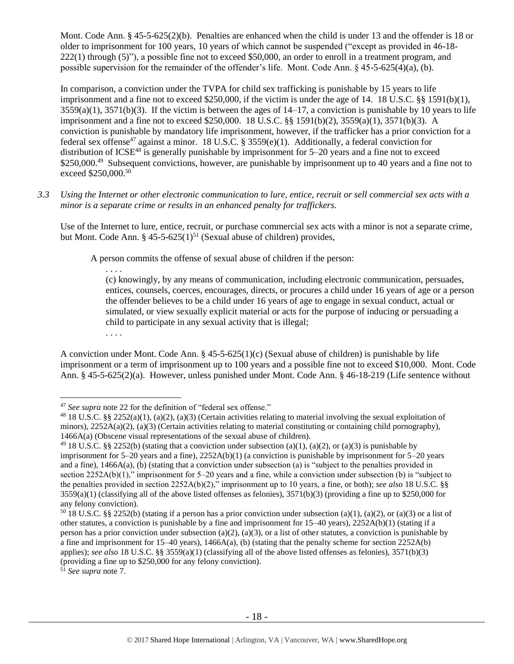Mont. Code Ann. § 45-5-625(2)(b). Penalties are enhanced when the child is under 13 and the offender is 18 or older to imprisonment for 100 years, 10 years of which cannot be suspended ("except as provided in 46-18- 222(1) through (5)"), a possible fine not to exceed \$50,000, an order to enroll in a treatment program, and possible supervision for the remainder of the offender's life. Mont. Code Ann. § 45-5-625(4)(a), (b).

In comparison, a conviction under the TVPA for child sex trafficking is punishable by 15 years to life imprisonment and a fine not to exceed \$250,000, if the victim is under the age of 14. 18 U.S.C. §§ 1591(b)(1),  $3559(a)(1)$ ,  $3571(b)(3)$ . If the victim is between the ages of  $14-17$ , a conviction is punishable by 10 years to life imprisonment and a fine not to exceed \$250,000. 18 U.S.C. §§ 1591(b)(2), 3559(a)(1), 3571(b)(3). A conviction is punishable by mandatory life imprisonment, however, if the trafficker has a prior conviction for a federal sex offense<sup>47</sup> against a minor. 18 U.S.C. § 3559(e)(1). Additionally, a federal conviction for distribution of ICSE<sup>48</sup> is generally punishable by imprisonment for  $5-20$  years and a fine not to exceed \$250,000.<sup>49</sup> Subsequent convictions, however, are punishable by imprisonment up to 40 years and a fine not to exceed \$250,000.<sup>50</sup>

*3.3 Using the Internet or other electronic communication to lure, entice, recruit or sell commercial sex acts with a minor is a separate crime or results in an enhanced penalty for traffickers.*

Use of the Internet to lure, entice, recruit, or purchase commercial sex acts with a minor is not a separate crime, but Mont. Code Ann.  $§$  45-5-625(1)<sup>51</sup> (Sexual abuse of children) provides,

A person commits the offense of sexual abuse of children if the person:

(c) knowingly, by any means of communication, including electronic communication, persuades, entices, counsels, coerces, encourages, directs, or procures a child under 16 years of age or a person the offender believes to be a child under 16 years of age to engage in sexual conduct, actual or simulated, or view sexually explicit material or acts for the purpose of inducing or persuading a child to participate in any sexual activity that is illegal;

. . . .

. . . .

A conviction under Mont. Code Ann.  $\S 45-5-625(1)(c)$  (Sexual abuse of children) is punishable by life imprisonment or a term of imprisonment up to 100 years and a possible fine not to exceed \$10,000. Mont. Code Ann. § 45-5-625(2)(a). However, unless punished under Mont. Code Ann. § 46-18-219 (Life sentence without

 $\overline{a}$ <sup>47</sup> *See supra* note [22](#page-10-0) for the definition of "federal sex offense."

 $^{48}$  18 U.S.C. §§ 2252(a)(1), (a)(2), (a)(3) (Certain activities relating to material involving the sexual exploitation of minors),  $2252A(a)(2)$ , (a)(3) (Certain activities relating to material constituting or containing child pornography), 1466A(a) (Obscene visual representations of the sexual abuse of children).

<sup>&</sup>lt;sup>49</sup> 18 U.S.C. §§ 2252(b) (stating that a conviction under subsection (a)(1), (a)(2), or (a)(3) is punishable by imprisonment for  $5-20$  years and a fine),  $2252A(b)(1)$  (a conviction is punishable by imprisonment for  $5-20$  years and a fine), 1466A(a), (b) (stating that a conviction under subsection (a) is "subject to the penalties provided in section 2252A(b)(1)," imprisonment for 5–20 years and a fine, while a conviction under subsection (b) is "subject to the penalties provided in section 2252A(b)(2)," imprisonment up to 10 years, a fine, or both); *see also* 18 U.S.C. §§  $3559(a)(1)$  (classifying all of the above listed offenses as felonies),  $3571(b)(3)$  (providing a fine up to \$250,000 for any felony conviction).

 $50\,18$  U.S.C. §§ 2252(b) (stating if a person has a prior conviction under subsection (a)(1), (a)(2), or (a)(3) or a list of other statutes, a conviction is punishable by a fine and imprisonment for 15–40 years), 2252A(b)(1) (stating if a person has a prior conviction under subsection (a)(2), (a)(3), or a list of other statutes, a conviction is punishable by a fine and imprisonment for  $15-40$  years),  $1466A(a)$ , (b) (stating that the penalty scheme for section  $2252A(b)$ applies); *see also* 18 U.S.C. §§ 3559(a)(1) (classifying all of the above listed offenses as felonies), 3571(b)(3) (providing a fine up to \$250,000 for any felony conviction).

<sup>51</sup> *See supra* note [7.](#page-3-0)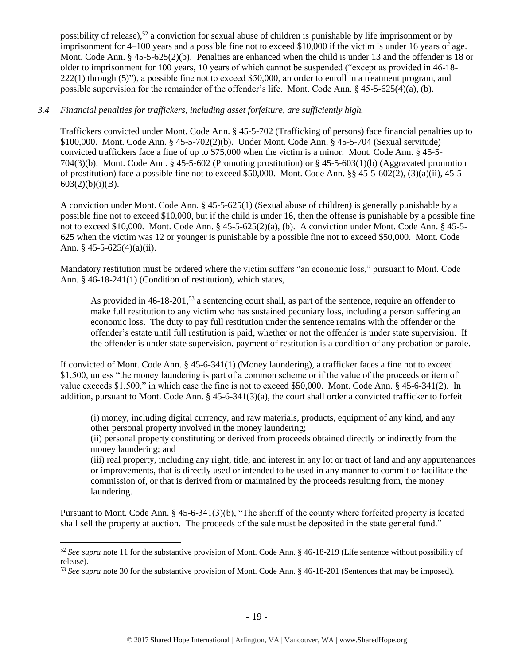possibility of release),<sup>52</sup> a conviction for sexual abuse of children is punishable by life imprisonment or by imprisonment for 4–100 years and a possible fine not to exceed \$10,000 if the victim is under 16 years of age. Mont. Code Ann. § 45-5-625(2)(b). Penalties are enhanced when the child is under 13 and the offender is 18 or older to imprisonment for 100 years, 10 years of which cannot be suspended ("except as provided in 46-18- 222(1) through (5)"), a possible fine not to exceed \$50,000, an order to enroll in a treatment program, and possible supervision for the remainder of the offender's life. Mont. Code Ann. § 45-5-625(4)(a), (b).

## *3.4 Financial penalties for traffickers, including asset forfeiture, are sufficiently high.*

Traffickers convicted under Mont. Code Ann. § 45-5-702 (Trafficking of persons) face financial penalties up to \$100,000. Mont. Code Ann. § 45-5-702(2)(b). Under Mont. Code Ann. § 45-5-704 (Sexual servitude) convicted traffickers face a fine of up to \$75,000 when the victim is a minor. Mont. Code Ann. § 45-5- 704(3)(b). Mont. Code Ann. § 45-5-602 (Promoting prostitution) or § 45-5-603(1)(b) (Aggravated promotion of prostitution) face a possible fine not to exceed \$50,000. Mont. Code Ann. §§ 45-5-602(2), (3)(a)(ii), 45-5-  $603(2)(b)(i)(B)$ .

A conviction under Mont. Code Ann. § 45-5-625(1) (Sexual abuse of children) is generally punishable by a possible fine not to exceed \$10,000, but if the child is under 16, then the offense is punishable by a possible fine not to exceed \$10,000. Mont. Code Ann. § 45-5-625(2)(a), (b). A conviction under Mont. Code Ann. § 45-5- 625 when the victim was 12 or younger is punishable by a possible fine not to exceed \$50,000. Mont. Code Ann. § 45-5-625(4)(a)(ii).

Mandatory restitution must be ordered where the victim suffers "an economic loss," pursuant to Mont. Code Ann. § 46-18-241(1) (Condition of restitution), which states,

As provided in 46-18-201,<sup>53</sup> a sentencing court shall, as part of the sentence, require an offender to make full restitution to any victim who has sustained pecuniary loss, including a person suffering an economic loss. The duty to pay full restitution under the sentence remains with the offender or the offender's estate until full restitution is paid, whether or not the offender is under state supervision. If the offender is under state supervision, payment of restitution is a condition of any probation or parole.

If convicted of Mont. Code Ann. § 45-6-341(1) (Money laundering), a trafficker faces a fine not to exceed \$1,500, unless "the money laundering is part of a common scheme or if the value of the proceeds or item of value exceeds \$1,500," in which case the fine is not to exceed \$50,000. Mont. Code Ann. § 45-6-341(2). In addition, pursuant to Mont. Code Ann. § 45-6-341(3)(a), the court shall order a convicted trafficker to forfeit

(i) money, including digital currency, and raw materials, products, equipment of any kind, and any other personal property involved in the money laundering;

(ii) personal property constituting or derived from proceeds obtained directly or indirectly from the money laundering; and

(iii) real property, including any right, title, and interest in any lot or tract of land and any appurtenances or improvements, that is directly used or intended to be used in any manner to commit or facilitate the commission of, or that is derived from or maintained by the proceeds resulting from, the money laundering.

Pursuant to Mont. Code Ann. § 45-6-341(3)(b), "The sheriff of the county where forfeited property is located shall sell the property at auction. The proceeds of the sale must be deposited in the state general fund."

<sup>52</sup> *See supra* note [11](#page-4-0) for the substantive provision of Mont. Code Ann. § 46-18-219 (Life sentence without possibility of release).

<sup>53</sup> *See supra* note [30](#page-12-0) for the substantive provision of Mont. Code Ann. § 46-18-201 (Sentences that may be imposed).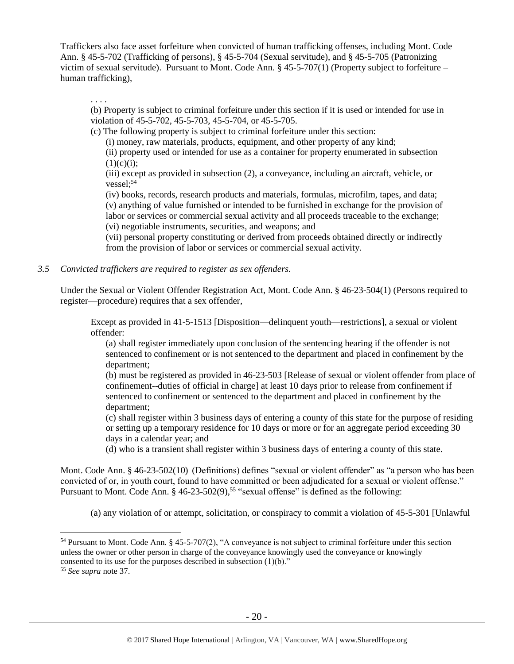Traffickers also face asset forfeiture when convicted of human trafficking offenses, including Mont. Code Ann. § 45-5-702 (Trafficking of persons), § 45-5-704 (Sexual servitude), and § 45-5-705 (Patronizing victim of sexual servitude). Pursuant to Mont. Code Ann. § 45-5-707(1) (Property subject to forfeiture – human trafficking),

. . . .

(b) Property is subject to criminal forfeiture under this section if it is used or intended for use in violation of 45-5-702, 45-5-703, 45-5-704, or 45-5-705.

(c) The following property is subject to criminal forfeiture under this section:

(i) money, raw materials, products, equipment, and other property of any kind;

(ii) property used or intended for use as a container for property enumerated in subsection  $(1)(c)(i);$ 

(iii) except as provided in subsection (2), a conveyance, including an aircraft, vehicle, or  $vessel:$ <sup>54</sup>

(iv) books, records, research products and materials, formulas, microfilm, tapes, and data; (v) anything of value furnished or intended to be furnished in exchange for the provision of labor or services or commercial sexual activity and all proceeds traceable to the exchange; (vi) negotiable instruments, securities, and weapons; and

(vii) personal property constituting or derived from proceeds obtained directly or indirectly from the provision of labor or services or commercial sexual activity.

*3.5 Convicted traffickers are required to register as sex offenders.*

Under the Sexual or Violent Offender Registration Act, Mont. Code Ann. § 46-23-504(1) (Persons required to register—procedure) requires that a sex offender,

Except as provided in 41-5-1513 [Disposition—delinquent youth—restrictions], a sexual or violent offender:

(a) shall register immediately upon conclusion of the sentencing hearing if the offender is not sentenced to confinement or is not sentenced to the department and placed in confinement by the department;

(b) must be registered as provided in 46-23-503 [Release of sexual or violent offender from place of confinement--duties of official in charge] at least 10 days prior to release from confinement if sentenced to confinement or sentenced to the department and placed in confinement by the department;

(c) shall register within 3 business days of entering a county of this state for the purpose of residing or setting up a temporary residence for 10 days or more or for an aggregate period exceeding 30 days in a calendar year; and

(d) who is a transient shall register within 3 business days of entering a county of this state.

Mont. Code Ann. § 46-23-502(10) (Definitions) defines "sexual or violent offender" as "a person who has been convicted of or, in youth court, found to have committed or been adjudicated for a sexual or violent offense." Pursuant to Mont. Code Ann. § 46-23-502(9),<sup>55</sup> "sexual offense" is defined as the following:

(a) any violation of or attempt, solicitation, or conspiracy to commit a violation of 45-5-301 [Unlawful

<sup>54</sup> Pursuant to Mont. Code Ann. § 45-5-707(2), "A conveyance is not subject to criminal forfeiture under this section unless the owner or other person in charge of the conveyance knowingly used the conveyance or knowingly consented to its use for the purposes described in subsection  $(1)(b)$ ."

<sup>55</sup> *See supra* note [37.](#page-14-0)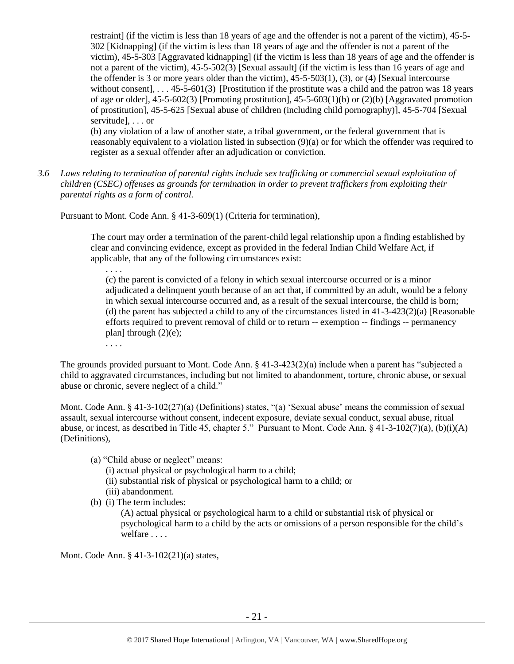restraint] (if the victim is less than 18 years of age and the offender is not a parent of the victim), 45-5- 302 [Kidnapping] (if the victim is less than 18 years of age and the offender is not a parent of the victim), 45-5-303 [Aggravated kidnapping] (if the victim is less than 18 years of age and the offender is not a parent of the victim), 45-5-502(3) [Sexual assault] (if the victim is less than 16 years of age and the offender is 3 or more years older than the victim), 45-5-503(1), (3), or (4) [Sexual intercourse without consent],  $\ldots$ , 45-5-601(3) [Prostitution if the prostitute was a child and the patron was 18 years of age or older],  $45-5-602(3)$  [Promoting prostitution],  $45-5-603(1)(b)$  or  $(2)(b)$  [Aggravated promotion] of prostitution], 45-5-625 [Sexual abuse of children (including child pornography)], 45-5-704 [Sexual servitude], . . . or

(b) any violation of a law of another state, a tribal government, or the federal government that is reasonably equivalent to a violation listed in subsection (9)(a) or for which the offender was required to register as a sexual offender after an adjudication or conviction.

*3.6 Laws relating to termination of parental rights include sex trafficking or commercial sexual exploitation of children (CSEC) offenses as grounds for termination in order to prevent traffickers from exploiting their parental rights as a form of control.*

Pursuant to Mont. Code Ann. § 41-3-609(1) (Criteria for termination),

The court may order a termination of the parent-child legal relationship upon a finding established by clear and convincing evidence, except as provided in the federal Indian Child Welfare Act, if applicable, that any of the following circumstances exist:

(c) the parent is convicted of a felony in which sexual intercourse occurred or is a minor adjudicated a delinquent youth because of an act that, if committed by an adult, would be a felony in which sexual intercourse occurred and, as a result of the sexual intercourse, the child is born; (d) the parent has subjected a child to any of the circumstances listed in  $41-3-423(2)(a)$  [Reasonable efforts required to prevent removal of child or to return -- exemption -- findings -- permanency plan] through  $(2)(e)$ ;

. . . .

. . . .

The grounds provided pursuant to Mont. Code Ann. § 41-3-423(2)(a) include when a parent has "subjected a child to aggravated circumstances, including but not limited to abandonment, torture, chronic abuse, or sexual abuse or chronic, severe neglect of a child."

Mont. Code Ann. § 41-3-102(27)(a) (Definitions) states, "(a) 'Sexual abuse' means the commission of sexual assault, sexual intercourse without consent, indecent exposure, deviate sexual conduct, sexual abuse, ritual abuse, or incest, as described in Title 45, chapter 5." Pursuant to Mont. Code Ann. § 41-3-102(7)(a), (b)(i)(A) (Definitions),

(a) "Child abuse or neglect" means:

(i) actual physical or psychological harm to a child;

(ii) substantial risk of physical or psychological harm to a child; or

- (iii) abandonment.
- (b) (i) The term includes:

(A) actual physical or psychological harm to a child or substantial risk of physical or psychological harm to a child by the acts or omissions of a person responsible for the child's welfare . . . .

Mont. Code Ann. § 41-3-102(21)(a) states,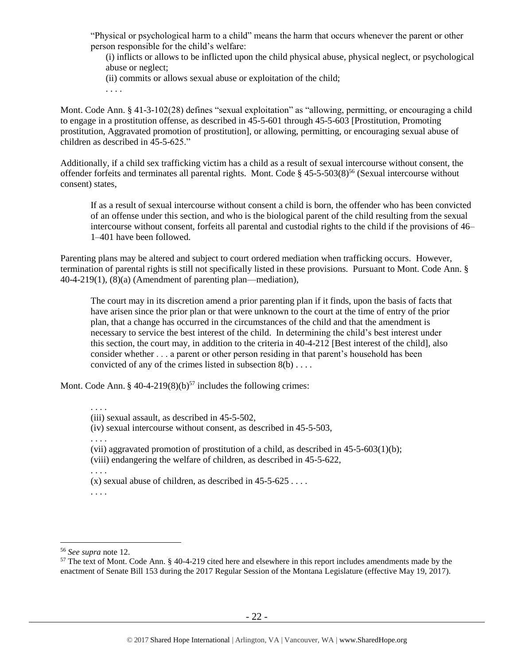"Physical or psychological harm to a child" means the harm that occurs whenever the parent or other person responsible for the child's welfare:

(i) inflicts or allows to be inflicted upon the child physical abuse, physical neglect, or psychological abuse or neglect;

- (ii) commits or allows sexual abuse or exploitation of the child;
- . . . .

Mont. Code Ann. § 41-3-102(28) defines "sexual exploitation" as "allowing, permitting, or encouraging a child to engage in a prostitution offense, as described in 45-5-601 through 45-5-603 [Prostitution, Promoting prostitution, Aggravated promotion of prostitution], or allowing, permitting, or encouraging sexual abuse of children as described in 45-5-625."

Additionally, if a child sex trafficking victim has a child as a result of sexual intercourse without consent, the offender forfeits and terminates all parental rights. Mont. Code § 45-5-503(8) <sup>56</sup> (Sexual intercourse without consent) states,

If as a result of sexual intercourse without consent a child is born, the offender who has been convicted of an offense under this section, and who is the biological parent of the child resulting from the sexual intercourse without consent, forfeits all parental and custodial rights to the child if the provisions of 46– 1–401 have been followed.

Parenting plans may be altered and subject to court ordered mediation when trafficking occurs. However, termination of parental rights is still not specifically listed in these provisions. Pursuant to Mont. Code Ann. § 40-4-219(1), (8)(a) (Amendment of parenting plan—mediation),

The court may in its discretion amend a prior parenting plan if it finds, upon the basis of facts that have arisen since the prior plan or that were unknown to the court at the time of entry of the prior plan, that a change has occurred in the circumstances of the child and that the amendment is necessary to service the best interest of the child. In determining the child's best interest under this section, the court may, in addition to the criteria in 40-4-212 [Best interest of the child], also consider whether . . . a parent or other person residing in that parent's household has been convicted of any of the crimes listed in subsection 8(b) . . . .

Mont. Code Ann. § 40-4-219(8)(b)<sup>57</sup> includes the following crimes:

. . . .

(iv) sexual intercourse without consent, as described in 45-5-503,

. . . .

(vii) aggravated promotion of prostitution of a child, as described in 45-5-603(1)(b); (viii) endangering the welfare of children, as described in 45-5-622,

. . . .

(x) sexual abuse of children, as described in  $45-5-625...$ 

. . . .

<sup>(</sup>iii) sexual assault, as described in 45-5-502,

<sup>56</sup> *See supra* note [12.](#page-5-0)

<sup>&</sup>lt;sup>57</sup> The text of Mont. Code Ann. § 40-4-219 cited here and elsewhere in this report includes amendments made by the enactment of Senate Bill 153 during the 2017 Regular Session of the Montana Legislature (effective May 19, 2017).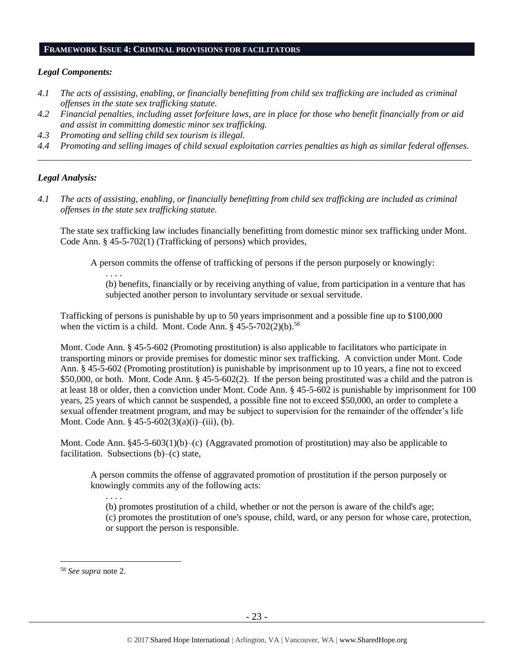#### **FRAMEWORK ISSUE 4: CRIMINAL PROVISIONS FOR FACILITATORS**

#### *Legal Components:*

- *4.1 The acts of assisting, enabling, or financially benefitting from child sex trafficking are included as criminal offenses in the state sex trafficking statute.*
- *4.2 Financial penalties, including asset forfeiture laws, are in place for those who benefit financially from or aid and assist in committing domestic minor sex trafficking.*
- *4.3 Promoting and selling child sex tourism is illegal.*

. . . .

*4.4 Promoting and selling images of child sexual exploitation carries penalties as high as similar federal offenses. \_\_\_\_\_\_\_\_\_\_\_\_\_\_\_\_\_\_\_\_\_\_\_\_\_\_\_\_\_\_\_\_\_\_\_\_\_\_\_\_\_\_\_\_\_\_\_\_\_\_\_\_\_\_\_\_\_\_\_\_\_\_\_\_\_\_\_\_\_\_\_\_\_\_\_\_\_\_\_\_\_\_\_\_\_\_\_\_\_\_\_\_\_\_*

## *Legal Analysis:*

*4.1 The acts of assisting, enabling, or financially benefitting from child sex trafficking are included as criminal offenses in the state sex trafficking statute.*

The state sex trafficking law includes financially benefitting from domestic minor sex trafficking under Mont. Code Ann. § 45-5-702(1) (Trafficking of persons) which provides,

A person commits the offense of trafficking of persons if the person purposely or knowingly:

(b) benefits, financially or by receiving anything of value, from participation in a venture that has subjected another person to involuntary servitude or sexual servitude.

Trafficking of persons is punishable by up to 50 years imprisonment and a possible fine up to \$100,000 when the victim is a child. Mont. Code Ann.  $§$  45-5-702(2)(b).<sup>58</sup>

Mont. Code Ann. § 45-5-602 (Promoting prostitution) is also applicable to facilitators who participate in transporting minors or provide premises for domestic minor sex trafficking. A conviction under Mont. Code Ann. § 45-5-602 (Promoting prostitution) is punishable by imprisonment up to 10 years, a fine not to exceed \$50,000, or both. Mont. Code Ann. § 45-5-602(2). If the person being prostituted was a child and the patron is at least 18 or older, then a conviction under Mont. Code Ann. § 45-5-602 is punishable by imprisonment for 100 years, 25 years of which cannot be suspended, a possible fine not to exceed \$50,000, an order to complete a sexual offender treatment program, and may be subject to supervision for the remainder of the offender's life Mont. Code Ann. § 45-5-602(3)(a)(i)–(iii), (b).

Mont. Code Ann. §45-5-603(1)(b)–(c) (Aggravated promotion of prostitution) may also be applicable to facilitation. Subsections (b)–(c) state,

A person commits the offense of aggravated promotion of prostitution if the person purposely or knowingly commits any of the following acts:

. . . . (b) promotes prostitution of a child, whether or not the person is aware of the child's age; (c) promotes the prostitution of one's spouse, child, ward, or any person for whose care, protection, or support the person is responsible.

<sup>58</sup> *See supra* note [2.](#page-1-0)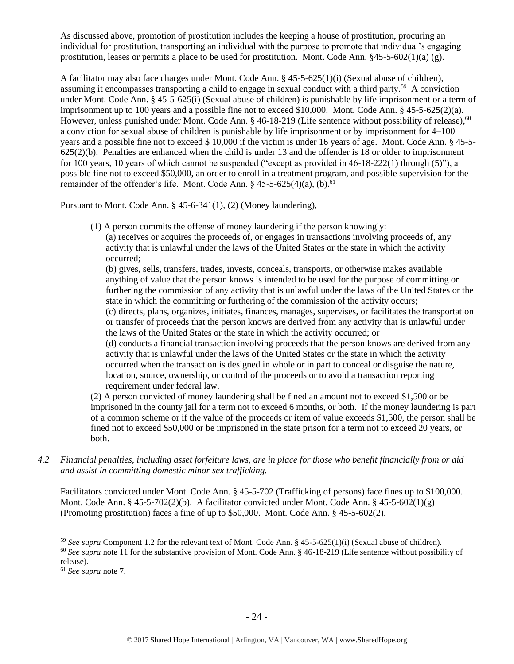As discussed above, promotion of prostitution includes the keeping a house of prostitution, procuring an individual for prostitution, transporting an individual with the purpose to promote that individual's engaging prostitution, leases or permits a place to be used for prostitution. Mont. Code Ann.  $§45-5-602(1)(a)$  (g).

A facilitator may also face charges under Mont. Code Ann. § 45-5-625(1)(i) (Sexual abuse of children), assuming it encompasses transporting a child to engage in sexual conduct with a third party.<sup>59</sup> A conviction under Mont. Code Ann. § 45-5-625(i) (Sexual abuse of children) is punishable by life imprisonment or a term of imprisonment up to 100 years and a possible fine not to exceed \$10,000. Mont. Code Ann. § 45-5-625(2)(a). However, unless punished under Mont. Code Ann. § 46-18-219 (Life sentence without possibility of release),<sup>60</sup> a conviction for sexual abuse of children is punishable by life imprisonment or by imprisonment for 4–100 years and a possible fine not to exceed \$ 10,000 if the victim is under 16 years of age. Mont. Code Ann. § 45-5- 625(2)(b). Penalties are enhanced when the child is under 13 and the offender is 18 or older to imprisonment for 100 years, 10 years of which cannot be suspended ("except as provided in 46-18-222(1) through (5)"), a possible fine not to exceed \$50,000, an order to enroll in a treatment program, and possible supervision for the remainder of the offender's life. Mont. Code Ann.  $\S$  45-5-625(4)(a), (b).<sup>61</sup>

Pursuant to Mont. Code Ann. § 45-6-341(1), (2) (Money laundering),

(1) A person commits the offense of money laundering if the person knowingly:

(a) receives or acquires the proceeds of, or engages in transactions involving proceeds of, any activity that is unlawful under the laws of the United States or the state in which the activity occurred;

(b) gives, sells, transfers, trades, invests, conceals, transports, or otherwise makes available anything of value that the person knows is intended to be used for the purpose of committing or furthering the commission of any activity that is unlawful under the laws of the United States or the state in which the committing or furthering of the commission of the activity occurs; (c) directs, plans, organizes, initiates, finances, manages, supervises, or facilitates the transportation or transfer of proceeds that the person knows are derived from any activity that is unlawful under the laws of the United States or the state in which the activity occurred; or (d) conducts a financial transaction involving proceeds that the person knows are derived from any activity that is unlawful under the laws of the United States or the state in which the activity occurred when the transaction is designed in whole or in part to conceal or disguise the nature, location, source, ownership, or control of the proceeds or to avoid a transaction reporting requirement under federal law.

(2) A person convicted of money laundering shall be fined an amount not to exceed \$1,500 or be imprisoned in the county jail for a term not to exceed 6 months, or both. If the money laundering is part of a common scheme or if the value of the proceeds or item of value exceeds \$1,500, the person shall be fined not to exceed \$50,000 or be imprisoned in the state prison for a term not to exceed 20 years, or both.

*4.2 Financial penalties, including asset forfeiture laws, are in place for those who benefit financially from or aid and assist in committing domestic minor sex trafficking.*

Facilitators convicted under Mont. Code Ann. § 45-5-702 (Trafficking of persons) face fines up to \$100,000. Mont. Code Ann. § 45-5-702(2)(b). A facilitator convicted under Mont. Code Ann. § 45-5-602(1)(g) (Promoting prostitution) faces a fine of up to \$50,000. Mont. Code Ann. § 45-5-602(2).

<sup>59</sup> *See supra* Component 1.2 for the relevant text of Mont. Code Ann. § 45-5-625(1)(i) (Sexual abuse of children).

<sup>60</sup> *See supra* note [11](#page-4-0) for the substantive provision of Mont. Code Ann. § 46-18-219 (Life sentence without possibility of release).

<sup>61</sup> *See supra* note [7.](#page-3-0)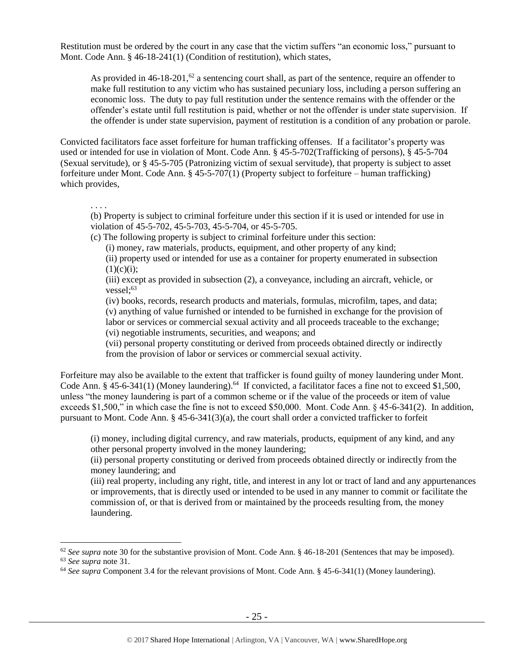Restitution must be ordered by the court in any case that the victim suffers "an economic loss," pursuant to Mont. Code Ann. § 46-18-241(1) (Condition of restitution), which states,

As provided in  $46-18-201$ ,  $62$  a sentencing court shall, as part of the sentence, require an offender to make full restitution to any victim who has sustained pecuniary loss, including a person suffering an economic loss. The duty to pay full restitution under the sentence remains with the offender or the offender's estate until full restitution is paid, whether or not the offender is under state supervision. If the offender is under state supervision, payment of restitution is a condition of any probation or parole.

Convicted facilitators face asset forfeiture for human trafficking offenses. If a facilitator's property was used or intended for use in violation of Mont. Code Ann. § 45-5-702(Trafficking of persons), § 45-5-704 (Sexual servitude), or § 45-5-705 (Patronizing victim of sexual servitude), that property is subject to asset forfeiture under Mont. Code Ann. § 45-5-707(1) (Property subject to forfeiture – human trafficking) which provides,

. . . .

 $\overline{a}$ 

(b) Property is subject to criminal forfeiture under this section if it is used or intended for use in violation of 45-5-702, 45-5-703, 45-5-704, or 45-5-705.

(c) The following property is subject to criminal forfeiture under this section:

(i) money, raw materials, products, equipment, and other property of any kind;

(ii) property used or intended for use as a container for property enumerated in subsection  $(1)(c)(i);$ 

(iii) except as provided in subsection (2), a conveyance, including an aircraft, vehicle, or vessel $:$ <sup>63</sup>

(iv) books, records, research products and materials, formulas, microfilm, tapes, and data; (v) anything of value furnished or intended to be furnished in exchange for the provision of labor or services or commercial sexual activity and all proceeds traceable to the exchange; (vi) negotiable instruments, securities, and weapons; and

(vii) personal property constituting or derived from proceeds obtained directly or indirectly from the provision of labor or services or commercial sexual activity.

Forfeiture may also be available to the extent that trafficker is found guilty of money laundering under Mont. Code Ann. § 45-6-341(1) (Money laundering).<sup>64</sup> If convicted, a facilitator faces a fine not to exceed \$1,500, unless "the money laundering is part of a common scheme or if the value of the proceeds or item of value exceeds \$1,500," in which case the fine is not to exceed \$50,000. Mont. Code Ann. § 45-6-341(2). In addition, pursuant to Mont. Code Ann. § 45-6-341(3)(a), the court shall order a convicted trafficker to forfeit

(i) money, including digital currency, and raw materials, products, equipment of any kind, and any other personal property involved in the money laundering;

(ii) personal property constituting or derived from proceeds obtained directly or indirectly from the money laundering; and

(iii) real property, including any right, title, and interest in any lot or tract of land and any appurtenances or improvements, that is directly used or intended to be used in any manner to commit or facilitate the commission of, or that is derived from or maintained by the proceeds resulting from, the money laundering.

<sup>&</sup>lt;sup>62</sup> See supra note [30](#page-12-0) for the substantive provision of Mont. Code Ann. § 46-18-201 (Sentences that may be imposed). <sup>63</sup> *See supra* note [31.](#page-13-0)

<sup>64</sup> *See supra* Component 3.4 for the relevant provisions of Mont. Code Ann. § 45-6-341(1) (Money laundering).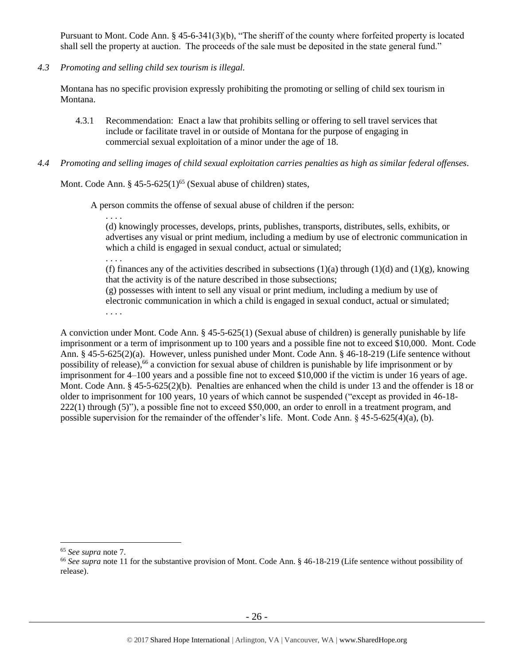Pursuant to Mont. Code Ann. § 45-6-341(3)(b), "The sheriff of the county where forfeited property is located shall sell the property at auction. The proceeds of the sale must be deposited in the state general fund."

*4.3 Promoting and selling child sex tourism is illegal.*

Montana has no specific provision expressly prohibiting the promoting or selling of child sex tourism in Montana.

- 4.3.1 Recommendation: Enact a law that prohibits selling or offering to sell travel services that include or facilitate travel in or outside of Montana for the purpose of engaging in commercial sexual exploitation of a minor under the age of 18.
- *4.4 Promoting and selling images of child sexual exploitation carries penalties as high as similar federal offenses.*

Mont. Code Ann.  $\S 45-5-625(1)^{65}$  (Sexual abuse of children) states,

A person commits the offense of sexual abuse of children if the person:

. . . .

(d) knowingly processes, develops, prints, publishes, transports, distributes, sells, exhibits, or advertises any visual or print medium, including a medium by use of electronic communication in which a child is engaged in sexual conduct, actual or simulated;

. . . .

(f) finances any of the activities described in subsections  $(1)(a)$  through  $(1)(d)$  and  $(1)(g)$ , knowing that the activity is of the nature described in those subsections;

(g) possesses with intent to sell any visual or print medium, including a medium by use of electronic communication in which a child is engaged in sexual conduct, actual or simulated; . . . .

A conviction under Mont. Code Ann. § 45-5-625(1) (Sexual abuse of children) is generally punishable by life imprisonment or a term of imprisonment up to 100 years and a possible fine not to exceed \$10,000. Mont. Code Ann. § 45-5-625(2)(a). However, unless punished under Mont. Code Ann. § 46-18-219 (Life sentence without possibility of release), <sup>66</sup> a conviction for sexual abuse of children is punishable by life imprisonment or by imprisonment for 4–100 years and a possible fine not to exceed \$10,000 if the victim is under 16 years of age. Mont. Code Ann. § 45-5-625(2)(b). Penalties are enhanced when the child is under 13 and the offender is 18 or older to imprisonment for 100 years, 10 years of which cannot be suspended ("except as provided in 46-18- 222(1) through (5)"), a possible fine not to exceed \$50,000, an order to enroll in a treatment program, and possible supervision for the remainder of the offender's life. Mont. Code Ann. § 45-5-625(4)(a), (b).

<sup>65</sup> *See supra* note [7.](#page-3-0)

<sup>66</sup> *See supra* note [11](#page-4-0) for the substantive provision of Mont. Code Ann. § 46-18-219 (Life sentence without possibility of release).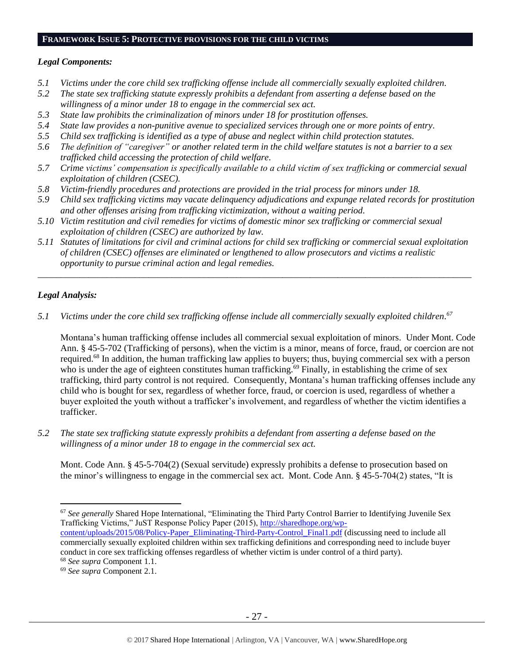#### **FRAMEWORK ISSUE 5: PROTECTIVE PROVISIONS FOR THE CHILD VICTIMS**

#### *Legal Components:*

- *5.1 Victims under the core child sex trafficking offense include all commercially sexually exploited children.*
- *5.2 The state sex trafficking statute expressly prohibits a defendant from asserting a defense based on the willingness of a minor under 18 to engage in the commercial sex act.*
- *5.3 State law prohibits the criminalization of minors under 18 for prostitution offenses.*
- *5.4 State law provides a non-punitive avenue to specialized services through one or more points of entry.*
- *5.5 Child sex trafficking is identified as a type of abuse and neglect within child protection statutes.*
- *5.6 The definition of "caregiver" or another related term in the child welfare statutes is not a barrier to a sex trafficked child accessing the protection of child welfare.*
- *5.7 Crime victims' compensation is specifically available to a child victim of sex trafficking or commercial sexual exploitation of children (CSEC).*
- *5.8 Victim-friendly procedures and protections are provided in the trial process for minors under 18.*
- *5.9 Child sex trafficking victims may vacate delinquency adjudications and expunge related records for prostitution and other offenses arising from trafficking victimization, without a waiting period.*
- *5.10 Victim restitution and civil remedies for victims of domestic minor sex trafficking or commercial sexual exploitation of children (CSEC) are authorized by law.*
- *5.11 Statutes of limitations for civil and criminal actions for child sex trafficking or commercial sexual exploitation of children (CSEC) offenses are eliminated or lengthened to allow prosecutors and victims a realistic opportunity to pursue criminal action and legal remedies.*

*\_\_\_\_\_\_\_\_\_\_\_\_\_\_\_\_\_\_\_\_\_\_\_\_\_\_\_\_\_\_\_\_\_\_\_\_\_\_\_\_\_\_\_\_\_\_\_\_\_\_\_\_\_\_\_\_\_\_\_\_\_\_\_\_\_\_\_\_\_\_\_\_\_\_\_\_\_\_\_\_\_\_\_\_\_\_\_\_\_\_\_\_\_\_*

## *Legal Analysis:*

*5.1 Victims under the core child sex trafficking offense include all commercially sexually exploited children. 67*

Montana's human trafficking offense includes all commercial sexual exploitation of minors. Under Mont. Code Ann. § 45-5-702 (Trafficking of persons), when the victim is a minor, means of force, fraud, or coercion are not required.<sup>68</sup> In addition, the human trafficking law applies to buyers; thus, buying commercial sex with a person who is under the age of eighteen constitutes human trafficking.<sup>69</sup> Finally, in establishing the crime of sex trafficking, third party control is not required. Consequently, Montana's human trafficking offenses include any child who is bought for sex, regardless of whether force, fraud, or coercion is used, regardless of whether a buyer exploited the youth without a trafficker's involvement, and regardless of whether the victim identifies a trafficker.

*5.2 The state sex trafficking statute expressly prohibits a defendant from asserting a defense based on the willingness of a minor under 18 to engage in the commercial sex act.* 

Mont. Code Ann. § 45-5-704(2) (Sexual servitude) expressly prohibits a defense to prosecution based on the minor's willingness to engage in the commercial sex act. Mont. Code Ann. § 45-5-704(2) states, "It is

 $\overline{a}$ <sup>67</sup> *See generally* Shared Hope International, "Eliminating the Third Party Control Barrier to Identifying Juvenile Sex Trafficking Victims," JuST Response Policy Paper (2015), [http://sharedhope.org/wp](http://sharedhope.org/wp-content/uploads/2015/08/Policy-Paper_Eliminating-Third-Party-Control_Final1.pdf)[content/uploads/2015/08/Policy-Paper\\_Eliminating-Third-Party-Control\\_Final1.pdf](http://sharedhope.org/wp-content/uploads/2015/08/Policy-Paper_Eliminating-Third-Party-Control_Final1.pdf) (discussing need to include all

commercially sexually exploited children within sex trafficking definitions and corresponding need to include buyer conduct in core sex trafficking offenses regardless of whether victim is under control of a third party).

<sup>68</sup> *See supra* Component 1.1.

<sup>69</sup> *See supra* Component 2.1.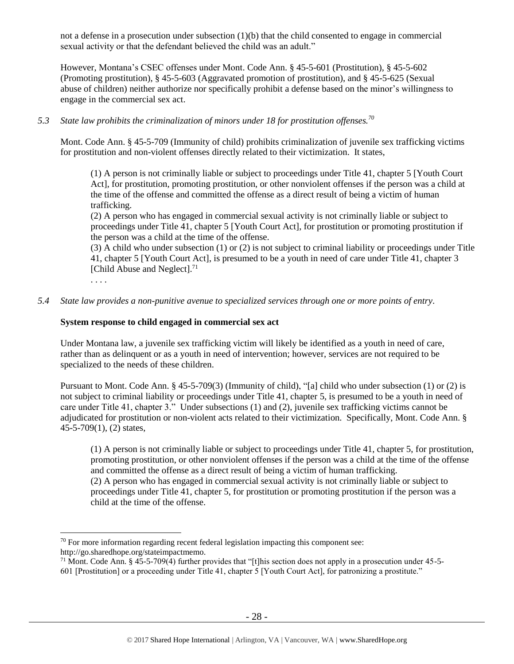not a defense in a prosecution under subsection (1)(b) that the child consented to engage in commercial sexual activity or that the defendant believed the child was an adult."

However, Montana's CSEC offenses under Mont. Code Ann. § 45-5-601 (Prostitution), § 45-5-602 (Promoting prostitution), § 45-5-603 (Aggravated promotion of prostitution), and § 45-5-625 (Sexual abuse of children) neither authorize nor specifically prohibit a defense based on the minor's willingness to engage in the commercial sex act.

# *5.3 State law prohibits the criminalization of minors under 18 for prostitution offenses.<sup>70</sup>*

Mont. Code Ann. § 45-5-709 (Immunity of child) prohibits criminalization of juvenile sex trafficking victims for prostitution and non-violent offenses directly related to their victimization. It states,

(1) A person is not criminally liable or subject to proceedings under Title 41, chapter 5 [Youth Court Act], for prostitution, promoting prostitution, or other nonviolent offenses if the person was a child at the time of the offense and committed the offense as a direct result of being a victim of human trafficking.

(2) A person who has engaged in commercial sexual activity is not criminally liable or subject to proceedings under Title 41, chapter 5 [Youth Court Act], for prostitution or promoting prostitution if the person was a child at the time of the offense.

(3) A child who under subsection (1) or (2) is not subject to criminal liability or proceedings under Title 41, chapter 5 [Youth Court Act], is presumed to be a youth in need of care under Title 41, chapter 3 [Child Abuse and Neglect].<sup>71</sup>

. . . .

## *5.4 State law provides a non-punitive avenue to specialized services through one or more points of entry.*

## **System response to child engaged in commercial sex act**

Under Montana law, a juvenile sex trafficking victim will likely be identified as a youth in need of care, rather than as delinquent or as a youth in need of intervention; however, services are not required to be specialized to the needs of these children.

Pursuant to Mont. Code Ann. § 45-5-709(3) (Immunity of child), "[a] child who under subsection (1) or (2) is not subject to criminal liability or proceedings under Title 41, chapter 5, is presumed to be a youth in need of care under Title 41, chapter 3." Under subsections (1) and (2), juvenile sex trafficking victims cannot be adjudicated for prostitution or non-violent acts related to their victimization. Specifically, Mont. Code Ann. § 45-5-709(1), (2) states,

(1) A person is not criminally liable or subject to proceedings under Title 41, chapter 5, for prostitution, promoting prostitution, or other nonviolent offenses if the person was a child at the time of the offense and committed the offense as a direct result of being a victim of human trafficking. (2) A person who has engaged in commercial sexual activity is not criminally liable or subject to

proceedings under Title 41, chapter 5, for prostitution or promoting prostitution if the person was a child at the time of the offense.

 $70$  For more information regarding recent federal legislation impacting this component see:

http://go.sharedhope.org/stateimpactmemo.

<sup>&</sup>lt;sup>71</sup> Mont. Code Ann. § 45-5-709(4) further provides that "[t]his section does not apply in a prosecution under  $45$ -5-601 [Prostitution] or a proceeding under Title 41, chapter 5 [Youth Court Act], for patronizing a prostitute."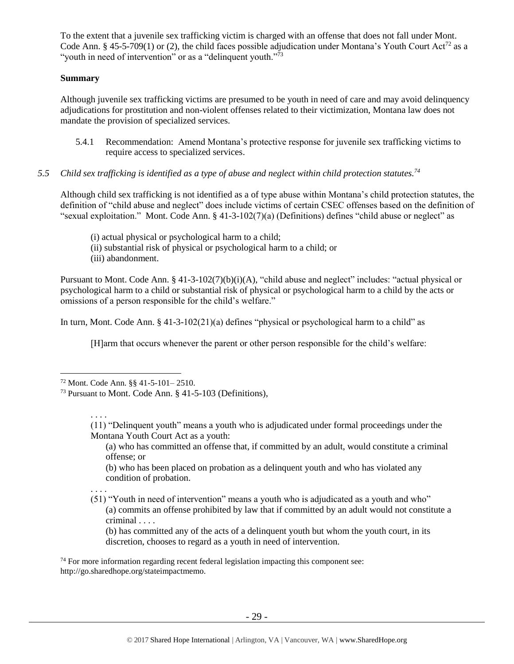To the extent that a juvenile sex trafficking victim is charged with an offense that does not fall under Mont. Code Ann. § 45-5-709(1) or (2), the child faces possible adjudication under Montana's Youth Court Act<sup>72</sup> as a "youth in need of intervention" or as a "delinquent youth."<sup>73</sup>

## **Summary**

Although juvenile sex trafficking victims are presumed to be youth in need of care and may avoid delinquency adjudications for prostitution and non-violent offenses related to their victimization, Montana law does not mandate the provision of specialized services.

- 5.4.1 Recommendation: Amend Montana's protective response for juvenile sex trafficking victims to require access to specialized services.
- *5.5 Child sex trafficking is identified as a type of abuse and neglect within child protection statutes.<sup>74</sup>*

Although child sex trafficking is not identified as a of type abuse within Montana's child protection statutes, the definition of "child abuse and neglect" does include victims of certain CSEC offenses based on the definition of "sexual exploitation." Mont. Code Ann. § 41-3-102(7)(a) (Definitions) defines "child abuse or neglect" as

- (i) actual physical or psychological harm to a child;
- (ii) substantial risk of physical or psychological harm to a child; or
- (iii) abandonment.

Pursuant to Mont. Code Ann. § 41-3-102(7)(b)(i)(A), "child abuse and neglect" includes: "actual physical or psychological harm to a child or substantial risk of physical or psychological harm to a child by the acts or omissions of a person responsible for the child's welfare."

In turn, Mont. Code Ann. § 41-3-102(21)(a) defines "physical or psychological harm to a child" as

[H]arm that occurs whenever the parent or other person responsible for the child's welfare:

 $\overline{a}$ 

(a) who has committed an offense that, if committed by an adult, would constitute a criminal offense; or

(b) who has been placed on probation as a delinquent youth and who has violated any condition of probation.

. . . . (51) "Youth in need of intervention" means a youth who is adjudicated as a youth and who" (a) commits an offense prohibited by law that if committed by an adult would not constitute a criminal . . . .

(b) has committed any of the acts of a delinquent youth but whom the youth court, in its discretion, chooses to regard as a youth in need of intervention.

 $74$  For more information regarding recent federal legislation impacting this component see: http://go.sharedhope.org/stateimpactmemo.

<sup>72</sup> Mont. Code Ann. §§ 41-5-101– 2510.

<sup>73</sup> Pursuant to Mont. Code Ann. § 41-5-103 (Definitions),

<sup>. . . .</sup> (11) "Delinquent youth" means a youth who is adjudicated under formal proceedings under the Montana Youth Court Act as a youth: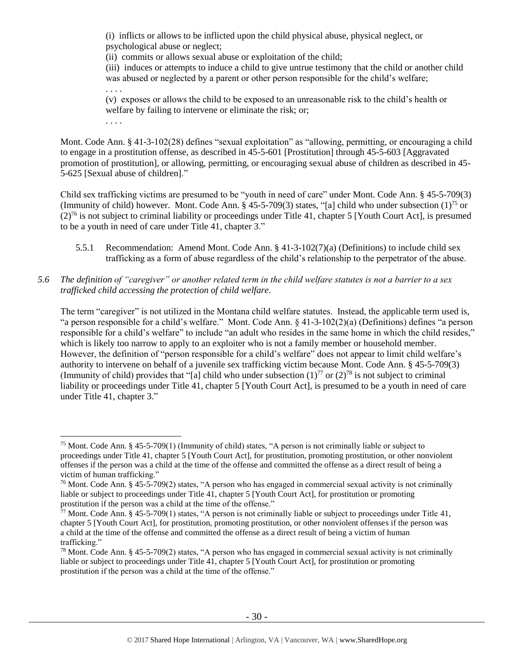(i) inflicts or allows to be inflicted upon the child physical abuse, physical neglect, or psychological abuse or neglect;

(ii) commits or allows sexual abuse or exploitation of the child;

. . . .

 $\overline{a}$ 

(iii) induces or attempts to induce a child to give untrue testimony that the child or another child was abused or neglected by a parent or other person responsible for the child's welfare; . . . .

(v) exposes or allows the child to be exposed to an unreasonable risk to the child's health or welfare by failing to intervene or eliminate the risk; or;

Mont. Code Ann. § 41-3-102(28) defines "sexual exploitation" as "allowing, permitting, or encouraging a child to engage in a prostitution offense, as described in 45-5-601 [Prostitution] through 45-5-603 [Aggravated promotion of prostitution], or allowing, permitting, or encouraging sexual abuse of children as described in 45- 5-625 [Sexual abuse of children]."

Child sex trafficking victims are presumed to be "youth in need of care" under Mont. Code Ann. § 45-5-709(3) (Immunity of child) however. Mont. Code Ann. § 45-5-709(3) states, "[a] child who under subsection  $(1)^{75}$  or  $(2)^{76}$  is not subject to criminal liability or proceedings under Title 41, chapter 5 [Youth Court Act], is presumed to be a youth in need of care under Title 41, chapter 3."

- 5.5.1 Recommendation: Amend Mont. Code Ann. § 41-3-102(7)(a) (Definitions) to include child sex trafficking as a form of abuse regardless of the child's relationship to the perpetrator of the abuse.
- *5.6 The definition of "caregiver" or another related term in the child welfare statutes is not a barrier to a sex trafficked child accessing the protection of child welfare.*

The term "caregiver" is not utilized in the Montana child welfare statutes. Instead, the applicable term used is, "a person responsible for a child's welfare." Mont. Code Ann. § 41-3-102(2)(a) (Definitions) defines "a person responsible for a child's welfare" to include "an adult who resides in the same home in which the child resides," which is likely too narrow to apply to an exploiter who is not a family member or household member. However, the definition of "person responsible for a child's welfare" does not appear to limit child welfare's authority to intervene on behalf of a juvenile sex trafficking victim because Mont. Code Ann. § 45-5-709(3) (Immunity of child) provides that "[a] child who under subsection  $(1)^{77}$  or  $(2)^{78}$  is not subject to criminal liability or proceedings under Title 41, chapter 5 [Youth Court Act], is presumed to be a youth in need of care under Title 41, chapter 3."

<sup>75</sup> Mont. Code Ann. § 45-5-709(1) (Immunity of child) states, "A person is not criminally liable or subject to proceedings under Title 41, chapter 5 [Youth Court Act], for prostitution, promoting prostitution, or other nonviolent offenses if the person was a child at the time of the offense and committed the offense as a direct result of being a victim of human trafficking."

<sup>&</sup>lt;sup>76</sup> Mont. Code Ann. § 45-5-709(2) states, "A person who has engaged in commercial sexual activity is not criminally liable or subject to proceedings under Title 41, chapter 5 [Youth Court Act], for prostitution or promoting prostitution if the person was a child at the time of the offense."

<sup>&</sup>lt;sup>77</sup> Mont. Code Ann. § 45-5-709(1) states, "A person is not criminally liable or subject to proceedings under Title 41, chapter 5 [Youth Court Act], for prostitution, promoting prostitution, or other nonviolent offenses if the person was a child at the time of the offense and committed the offense as a direct result of being a victim of human trafficking."

 $78$  Mont. Code Ann. § 45-5-709(2) states, "A person who has engaged in commercial sexual activity is not criminally liable or subject to proceedings under Title 41, chapter 5 [Youth Court Act], for prostitution or promoting prostitution if the person was a child at the time of the offense."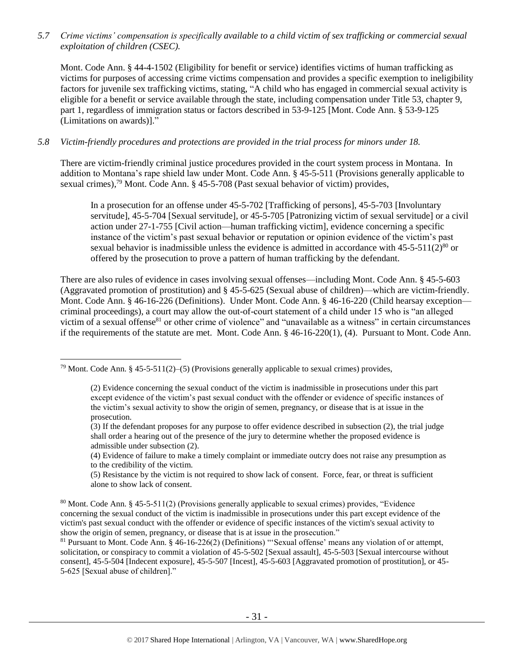*5.7 Crime victims' compensation is specifically available to a child victim of sex trafficking or commercial sexual exploitation of children (CSEC).*

Mont. Code Ann. § 44-4-1502 (Eligibility for benefit or service) identifies victims of human trafficking as victims for purposes of accessing crime victims compensation and provides a specific exemption to ineligibility factors for juvenile sex trafficking victims, stating, "A child who has engaged in commercial sexual activity is eligible for a benefit or service available through the state, including compensation under Title 53, chapter 9, part 1, regardless of immigration status or factors described in 53-9-125 [Mont. Code Ann. § 53-9-125 (Limitations on awards)]."

#### *5.8 Victim-friendly procedures and protections are provided in the trial process for minors under 18.*

There are victim-friendly criminal justice procedures provided in the court system process in Montana. In addition to Montana's rape shield law under Mont. Code Ann. § 45-5-511 (Provisions generally applicable to sexual crimes),<sup>79</sup> Mont. Code Ann. § 45-5-708 (Past sexual behavior of victim) provides,

In a prosecution for an offense under 45-5-702 [Trafficking of persons], 45-5-703 [Involuntary servitude], 45-5-704 [Sexual servitude], or 45-5-705 [Patronizing victim of sexual servitude] or a civil action under 27-1-755 [Civil action—human trafficking victim], evidence concerning a specific instance of the victim's past sexual behavior or reputation or opinion evidence of the victim's past sexual behavior is inadmissible unless the evidence is admitted in accordance with  $45-5-511(2)^{80}$  or offered by the prosecution to prove a pattern of human trafficking by the defendant.

There are also rules of evidence in cases involving sexual offenses—including Mont. Code Ann. § 45-5-603 (Aggravated promotion of prostitution) and § 45-5-625 (Sexual abuse of children)—which are victim-friendly. Mont. Code Ann. § 46-16-226 (Definitions). Under Mont. Code Ann. § 46-16-220 (Child hearsay exception criminal proceedings), a court may allow the out-of-court statement of a child under 15 who is "an alleged victim of a sexual offense<sup>81</sup> or other crime of violence" and "unavailable as a witness" in certain circumstances if the requirements of the statute are met. Mont. Code Ann. § 46-16-220(1), (4). Pursuant to Mont. Code Ann.

<sup>&</sup>lt;sup>79</sup> Mont. Code Ann. § 45-5-511(2)–(5) (Provisions generally applicable to sexual crimes) provides,

<sup>(2)</sup> Evidence concerning the sexual conduct of the victim is inadmissible in prosecutions under this part except evidence of the victim's past sexual conduct with the offender or evidence of specific instances of the victim's sexual activity to show the origin of semen, pregnancy, or disease that is at issue in the prosecution.

<sup>(3)</sup> If the defendant proposes for any purpose to offer evidence described in subsection (2), the trial judge shall order a hearing out of the presence of the jury to determine whether the proposed evidence is admissible under subsection (2).

<sup>(4)</sup> Evidence of failure to make a timely complaint or immediate outcry does not raise any presumption as to the credibility of the victim.

<sup>(5)</sup> Resistance by the victim is not required to show lack of consent. Force, fear, or threat is sufficient alone to show lack of consent.

<sup>80</sup> Mont. Code Ann. § 45-5-511(2) (Provisions generally applicable to sexual crimes) provides, "Evidence concerning the sexual conduct of the victim is inadmissible in prosecutions under this part except evidence of the victim's past sexual conduct with the offender or evidence of specific instances of the victim's sexual activity to show the origin of semen, pregnancy, or disease that is at issue in the prosecution."

 $81$  Pursuant to Mont. Code Ann. § 46-16-226(2) (Definitions) "Sexual offense' means any violation of or attempt, solicitation, or conspiracy to commit a violation of 45-5-502 [Sexual assault], 45-5-503 [Sexual intercourse without consent], 45-5-504 [Indecent exposure], 45-5-507 [Incest], 45-5-603 [Aggravated promotion of prostitution], or 45- 5-625 [Sexual abuse of children]."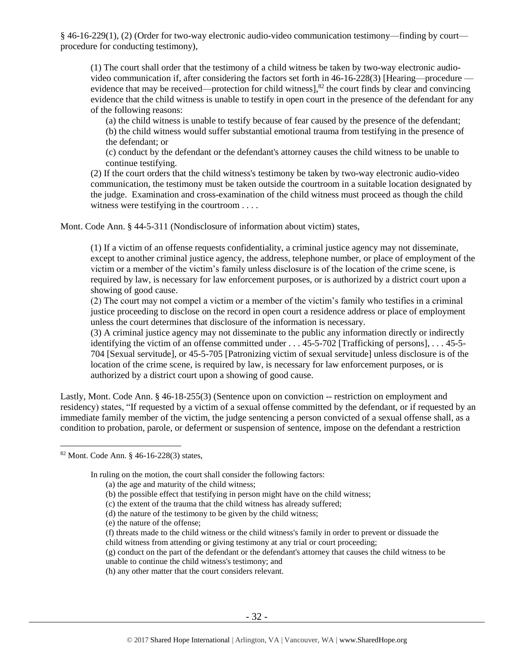§ 46-16-229(1), (2) (Order for two-way electronic audio-video communication testimony—finding by court procedure for conducting testimony),

(1) The court shall order that the testimony of a child witness be taken by two-way electronic audiovideo communication if, after considering the factors set forth in 46-16-228(3) [Hearing—procedure evidence that may be received—protection for child witness],<sup>82</sup> the court finds by clear and convincing evidence that the child witness is unable to testify in open court in the presence of the defendant for any of the following reasons:

(a) the child witness is unable to testify because of fear caused by the presence of the defendant; (b) the child witness would suffer substantial emotional trauma from testifying in the presence of the defendant; or

(c) conduct by the defendant or the defendant's attorney causes the child witness to be unable to continue testifying.

(2) If the court orders that the child witness's testimony be taken by two-way electronic audio-video communication, the testimony must be taken outside the courtroom in a suitable location designated by the judge. Examination and cross-examination of the child witness must proceed as though the child witness were testifying in the courtroom . . . .

Mont. Code Ann. § 44-5-311 (Nondisclosure of information about victim) states,

(1) If a victim of an offense requests confidentiality, a criminal justice agency may not disseminate, except to another criminal justice agency, the address, telephone number, or place of employment of the victim or a member of the victim's family unless disclosure is of the location of the crime scene, is required by law, is necessary for law enforcement purposes, or is authorized by a district court upon a showing of good cause.

(2) The court may not compel a victim or a member of the victim's family who testifies in a criminal justice proceeding to disclose on the record in open court a residence address or place of employment unless the court determines that disclosure of the information is necessary.

(3) A criminal justice agency may not disseminate to the public any information directly or indirectly identifying the victim of an offense committed under . . . 45-5-702 [Trafficking of persons], . . . 45-5- 704 [Sexual servitude], or 45-5-705 [Patronizing victim of sexual servitude] unless disclosure is of the location of the crime scene, is required by law, is necessary for law enforcement purposes, or is authorized by a district court upon a showing of good cause.

Lastly, Mont. Code Ann. § 46-18-255(3) (Sentence upon on conviction -- restriction on employment and residency) states, "If requested by a victim of a sexual offense committed by the defendant, or if requested by an immediate family member of the victim, the judge sentencing a person convicted of a sexual offense shall, as a condition to probation, parole, or deferment or suspension of sentence, impose on the defendant a restriction

 $\overline{a}$ 

In ruling on the motion, the court shall consider the following factors:

- (a) the age and maturity of the child witness;
- (b) the possible effect that testifying in person might have on the child witness;
- (c) the extent of the trauma that the child witness has already suffered;
- (d) the nature of the testimony to be given by the child witness;
- (e) the nature of the offense;
- (f) threats made to the child witness or the child witness's family in order to prevent or dissuade the child witness from attending or giving testimony at any trial or court proceeding;
- (g) conduct on the part of the defendant or the defendant's attorney that causes the child witness to be unable to continue the child witness's testimony; and
- (h) any other matter that the court considers relevant.

<sup>82</sup> Mont. Code Ann. § 46-16-228(3) states,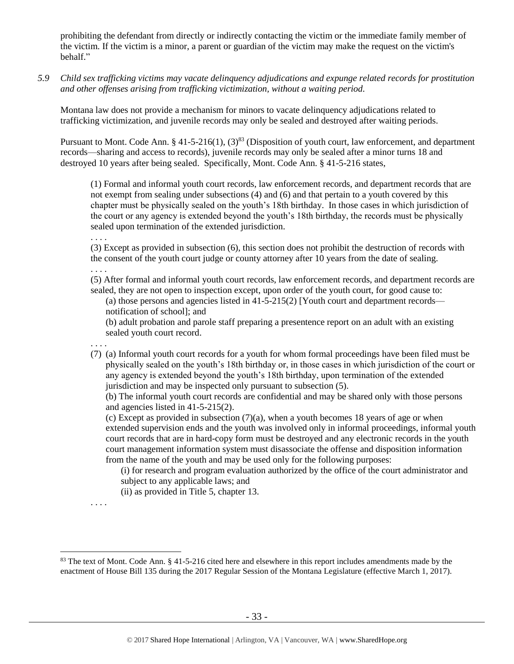prohibiting the defendant from directly or indirectly contacting the victim or the immediate family member of the victim. If the victim is a minor, a parent or guardian of the victim may make the request on the victim's behalf."

*5.9 Child sex trafficking victims may vacate delinquency adjudications and expunge related records for prostitution and other offenses arising from trafficking victimization, without a waiting period.*

Montana law does not provide a mechanism for minors to vacate delinquency adjudications related to trafficking victimization, and juvenile records may only be sealed and destroyed after waiting periods.

Pursuant to Mont. Code Ann. § 41-5-216(1), (3)<sup>83</sup> (Disposition of youth court, law enforcement, and department records—sharing and access to records), juvenile records may only be sealed after a minor turns 18 and destroyed 10 years after being sealed. Specifically, Mont. Code Ann. § 41-5-216 states,

(1) Formal and informal youth court records, law enforcement records, and department records that are not exempt from sealing under subsections (4) and (6) and that pertain to a youth covered by this chapter must be physically sealed on the youth's 18th birthday. In those cases in which jurisdiction of the court or any agency is extended beyond the youth's 18th birthday, the records must be physically sealed upon termination of the extended jurisdiction.

. . . .

(3) Except as provided in subsection (6), this section does not prohibit the destruction of records with the consent of the youth court judge or county attorney after 10 years from the date of sealing.

. . . .

(5) After formal and informal youth court records, law enforcement records, and department records are sealed, they are not open to inspection except, upon order of the youth court, for good cause to:

(a) those persons and agencies listed in  $41-5-215(2)$  [Youth court and department records notification of school]; and

(b) adult probation and parole staff preparing a presentence report on an adult with an existing sealed youth court record.

. . . .

(7) (a) Informal youth court records for a youth for whom formal proceedings have been filed must be physically sealed on the youth's 18th birthday or, in those cases in which jurisdiction of the court or any agency is extended beyond the youth's 18th birthday, upon termination of the extended jurisdiction and may be inspected only pursuant to subsection (5).

(b) The informal youth court records are confidential and may be shared only with those persons and agencies listed in 41-5-215(2).

(c) Except as provided in subsection  $(7)(a)$ , when a youth becomes 18 years of age or when extended supervision ends and the youth was involved only in informal proceedings, informal youth court records that are in hard-copy form must be destroyed and any electronic records in the youth court management information system must disassociate the offense and disposition information from the name of the youth and may be used only for the following purposes:

(i) for research and program evaluation authorized by the office of the court administrator and subject to any applicable laws; and

(ii) as provided in Title 5, chapter 13.

. . . .

<sup>83</sup> The text of Mont. Code Ann. § 41-5-216 cited here and elsewhere in this report includes amendments made by the enactment of House Bill 135 during the 2017 Regular Session of the Montana Legislature (effective March 1, 2017).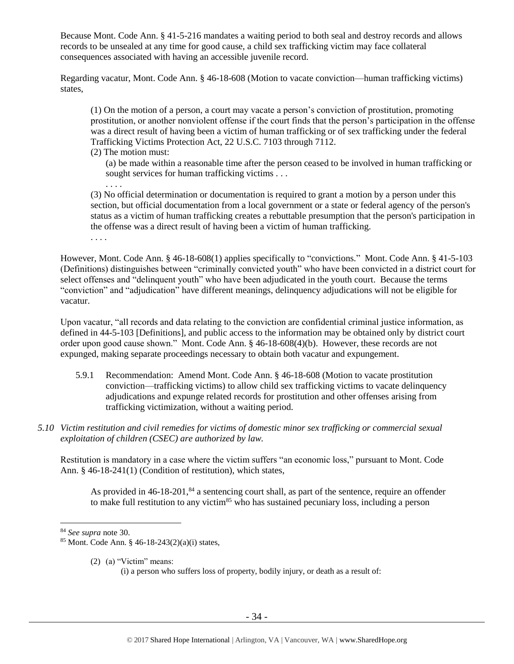Because Mont. Code Ann. § 41-5-216 mandates a waiting period to both seal and destroy records and allows records to be unsealed at any time for good cause, a child sex trafficking victim may face collateral consequences associated with having an accessible juvenile record.

Regarding vacatur, Mont. Code Ann. § 46-18-608 (Motion to vacate conviction—human trafficking victims) states,

(1) On the motion of a person, a court may vacate a person's conviction of prostitution, promoting prostitution, or another nonviolent offense if the court finds that the person's participation in the offense was a direct result of having been a victim of human trafficking or of sex trafficking under the federal Trafficking Victims Protection Act, 22 U.S.C. 7103 through 7112.

(2) The motion must:

(a) be made within a reasonable time after the person ceased to be involved in human trafficking or sought services for human trafficking victims . . .

. . . .

(3) No official determination or documentation is required to grant a motion by a person under this section, but official documentation from a local government or a state or federal agency of the person's status as a victim of human trafficking creates a rebuttable presumption that the person's participation in the offense was a direct result of having been a victim of human trafficking.

. . . .

However, Mont. Code Ann. § 46-18-608(1) applies specifically to "convictions." Mont. Code Ann. § 41-5-103 (Definitions) distinguishes between "criminally convicted youth" who have been convicted in a district court for select offenses and "delinquent youth" who have been adjudicated in the youth court. Because the terms "conviction" and "adjudication" have different meanings, delinquency adjudications will not be eligible for vacatur.

Upon vacatur, "all records and data relating to the conviction are confidential criminal justice information, as defined in 44-5-103 [Definitions], and public access to the information may be obtained only by district court order upon good cause shown." Mont. Code Ann. § 46-18-608(4)(b). However, these records are not expunged, making separate proceedings necessary to obtain both vacatur and expungement.

- 5.9.1 Recommendation: Amend Mont. Code Ann. § 46-18-608 (Motion to vacate prostitution conviction—trafficking victims) to allow child sex trafficking victims to vacate delinquency adjudications and expunge related records for prostitution and other offenses arising from trafficking victimization, without a waiting period.
- *5.10 Victim restitution and civil remedies for victims of domestic minor sex trafficking or commercial sexual exploitation of children (CSEC) are authorized by law.*

Restitution is mandatory in a case where the victim suffers "an economic loss," pursuant to Mont. Code Ann. § 46-18-241(1) (Condition of restitution), which states,

As provided in  $46-18-201$ ,  $84$  a sentencing court shall, as part of the sentence, require an offender to make full restitution to any victim<sup>85</sup> who has sustained pecuniary loss, including a person

 $\overline{a}$ 

(2) (a) "Victim" means:

<sup>84</sup> *See supra* note [30.](#page-12-0)

 $85$  Mont. Code Ann. § 46-18-243(2)(a)(i) states,

<sup>(</sup>i) a person who suffers loss of property, bodily injury, or death as a result of: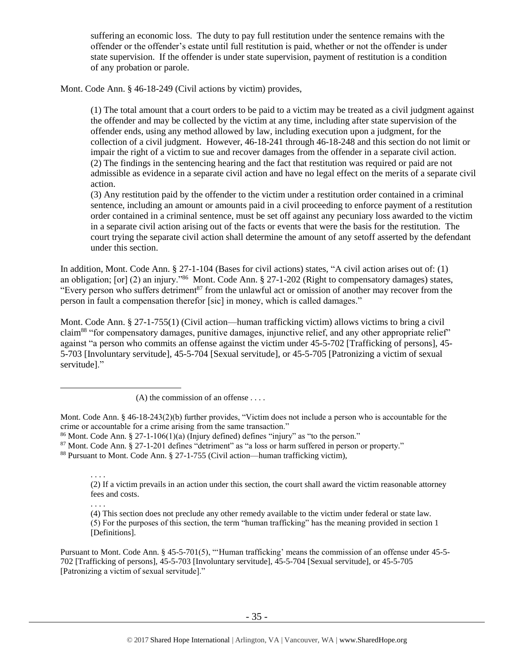suffering an economic loss. The duty to pay full restitution under the sentence remains with the offender or the offender's estate until full restitution is paid, whether or not the offender is under state supervision. If the offender is under state supervision, payment of restitution is a condition of any probation or parole.

Mont. Code Ann. § 46-18-249 (Civil actions by victim) provides,

(1) The total amount that a court orders to be paid to a victim may be treated as a civil judgment against the offender and may be collected by the victim at any time, including after state supervision of the offender ends, using any method allowed by law, including execution upon a judgment, for the collection of a civil judgment. However, 46-18-241 through 46-18-248 and this section do not limit or impair the right of a victim to sue and recover damages from the offender in a separate civil action. (2) The findings in the sentencing hearing and the fact that restitution was required or paid are not admissible as evidence in a separate civil action and have no legal effect on the merits of a separate civil action.

(3) Any restitution paid by the offender to the victim under a restitution order contained in a criminal sentence, including an amount or amounts paid in a civil proceeding to enforce payment of a restitution order contained in a criminal sentence, must be set off against any pecuniary loss awarded to the victim in a separate civil action arising out of the facts or events that were the basis for the restitution. The court trying the separate civil action shall determine the amount of any setoff asserted by the defendant under this section.

In addition, Mont. Code Ann. § 27-1-104 (Bases for civil actions) states, "A civil action arises out of: (1) an obligation; [or] (2) an injury."<sup>86</sup> Mont. Code Ann. § 27-1-202 (Right to compensatory damages) states, "Every person who suffers detriment<sup>87</sup> from the unlawful act or omission of another may recover from the person in fault a compensation therefor [sic] in money, which is called damages."

Mont. Code Ann. § 27-1-755(1) (Civil action—human trafficking victim) allows victims to bring a civil claim<sup>88</sup> "for compensatory damages, punitive damages, injunctive relief, and any other appropriate relief" against "a person who commits an offense against the victim under 45-5-702 [Trafficking of persons], 45- 5-703 [Involuntary servitude], 45-5-704 [Sexual servitude], or 45-5-705 [Patronizing a victim of sexual servitude]."

 $(A)$  the commission of an offense ....

 $\overline{a}$ 

Mont. Code Ann. § 46-18-243(2)(b) further provides, "Victim does not include a person who is accountable for the crime or accountable for a crime arising from the same transaction."

 $86$  Mont. Code Ann. § 27-1-106(1)(a) (Injury defined) defines "injury" as "to the person."

<sup>87</sup> Mont. Code Ann. § 27-1-201 defines "detriment" as "a loss or harm suffered in person or property."

<sup>88</sup> Pursuant to Mont. Code Ann. § 27-1-755 (Civil action—human trafficking victim),

. . . . (2) If a victim prevails in an action under this section, the court shall award the victim reasonable attorney fees and costs.

. . . . (4) This section does not preclude any other remedy available to the victim under federal or state law.

(5) For the purposes of this section, the term "human trafficking" has the meaning provided in section 1 [Definitions].

Pursuant to Mont. Code Ann. § 45-5-701(5), "'Human trafficking' means the commission of an offense under 45-5- 702 [Trafficking of persons], 45-5-703 [Involuntary servitude], 45-5-704 [Sexual servitude], or 45-5-705 [Patronizing a victim of sexual servitude]."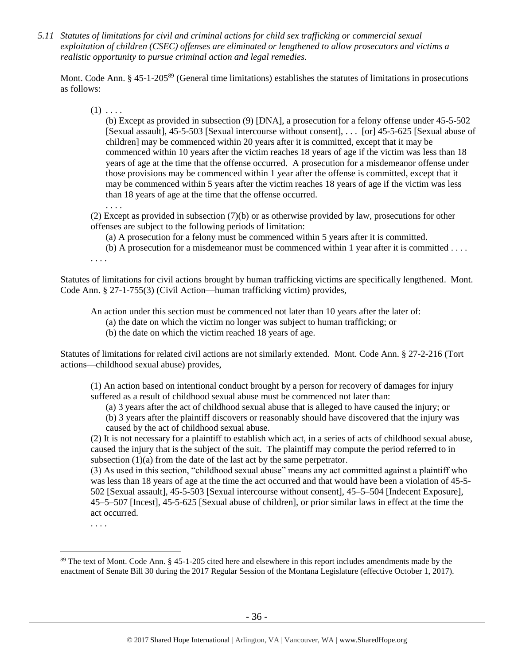*5.11 Statutes of limitations for civil and criminal actions for child sex trafficking or commercial sexual exploitation of children (CSEC) offenses are eliminated or lengthened to allow prosecutors and victims a realistic opportunity to pursue criminal action and legal remedies.*

Mont. Code Ann. § 45-1-205<sup>89</sup> (General time limitations) establishes the statutes of limitations in prosecutions as follows:

 $(1) \ldots$ 

(b) Except as provided in subsection (9) [DNA], a prosecution for a felony offense under 45-5-502 [Sexual assault], 45-5-503 [Sexual intercourse without consent], . . . [or] 45-5-625 [Sexual abuse of children] may be commenced within 20 years after it is committed, except that it may be commenced within 10 years after the victim reaches 18 years of age if the victim was less than 18 years of age at the time that the offense occurred. A prosecution for a misdemeanor offense under those provisions may be commenced within 1 year after the offense is committed, except that it may be commenced within 5 years after the victim reaches 18 years of age if the victim was less than 18 years of age at the time that the offense occurred.

(2) Except as provided in subsection (7)(b) or as otherwise provided by law, prosecutions for other offenses are subject to the following periods of limitation:

(a) A prosecution for a felony must be commenced within 5 years after it is committed.

(b) A prosecution for a misdemeanor must be commenced within 1 year after it is committed . . . .

. . . .

. . . .

Statutes of limitations for civil actions brought by human trafficking victims are specifically lengthened. Mont. Code Ann. § 27-1-755(3) (Civil Action—human trafficking victim) provides,

An action under this section must be commenced not later than 10 years after the later of:

(a) the date on which the victim no longer was subject to human trafficking; or

(b) the date on which the victim reached 18 years of age.

Statutes of limitations for related civil actions are not similarly extended. Mont. Code Ann. § 27-2-216 (Tort actions—childhood sexual abuse) provides,

(1) An action based on intentional conduct brought by a person for recovery of damages for injury suffered as a result of childhood sexual abuse must be commenced not later than:

(a) 3 years after the act of childhood sexual abuse that is alleged to have caused the injury; or

(b) 3 years after the plaintiff discovers or reasonably should have discovered that the injury was

caused by the act of childhood sexual abuse.

(2) It is not necessary for a plaintiff to establish which act, in a series of acts of childhood sexual abuse, caused the injury that is the subject of the suit. The plaintiff may compute the period referred to in subsection (1)(a) from the date of the last act by the same perpetrator.

(3) As used in this section, "childhood sexual abuse" means any act committed against a plaintiff who was less than 18 years of age at the time the act occurred and that would have been a violation of 45-5- 502 [Sexual assault], 45-5-503 [Sexual intercourse without consent], 45–5–504 [Indecent Exposure], 45–5–507 [Incest], 45-5-625 [Sexual abuse of children], or prior similar laws in effect at the time the act occurred.

. . . .

<sup>89</sup> The text of Mont. Code Ann. § 45-1-205 cited here and elsewhere in this report includes amendments made by the enactment of Senate Bill 30 during the 2017 Regular Session of the Montana Legislature (effective October 1, 2017).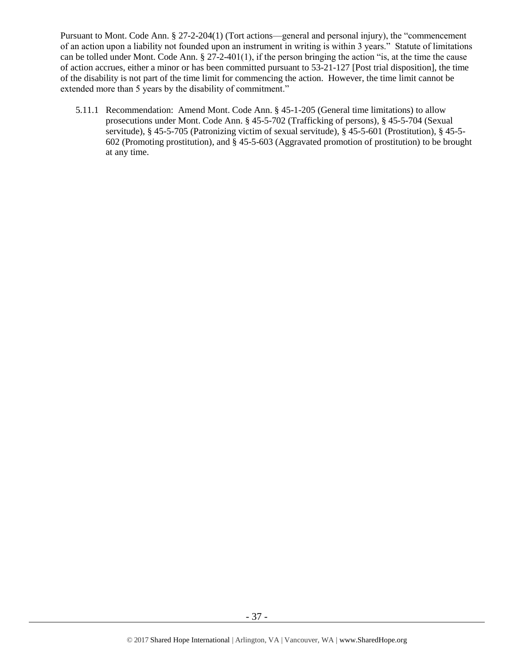Pursuant to Mont. Code Ann. § 27-2-204(1) (Tort actions—general and personal injury), the "commencement of an action upon a liability not founded upon an instrument in writing is within 3 years." Statute of limitations can be tolled under Mont. Code Ann.  $\S 27-2-401(1)$ , if the person bringing the action "is, at the time the cause of action accrues, either a minor or has been committed pursuant to 53-21-127 [Post trial disposition], the time of the disability is not part of the time limit for commencing the action. However, the time limit cannot be extended more than 5 years by the disability of commitment."

5.11.1 Recommendation: Amend Mont. Code Ann. § 45-1-205 (General time limitations) to allow prosecutions under Mont. Code Ann. § 45-5-702 (Trafficking of persons), § 45-5-704 (Sexual servitude), § 45-5-705 (Patronizing victim of sexual servitude), § 45-5-601 (Prostitution), § 45-5- 602 (Promoting prostitution), and § 45-5-603 (Aggravated promotion of prostitution) to be brought at any time.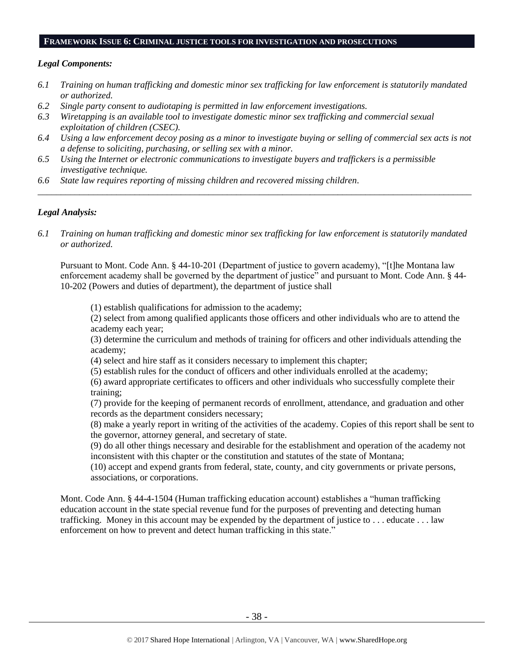#### **FRAMEWORK ISSUE 6: CRIMINAL JUSTICE TOOLS FOR INVESTIGATION AND PROSECUTIONS**

#### *Legal Components:*

- *6.1 Training on human trafficking and domestic minor sex trafficking for law enforcement is statutorily mandated or authorized.*
- *6.2 Single party consent to audiotaping is permitted in law enforcement investigations.*
- *6.3 Wiretapping is an available tool to investigate domestic minor sex trafficking and commercial sexual exploitation of children (CSEC).*
- *6.4 Using a law enforcement decoy posing as a minor to investigate buying or selling of commercial sex acts is not a defense to soliciting, purchasing, or selling sex with a minor.*

*\_\_\_\_\_\_\_\_\_\_\_\_\_\_\_\_\_\_\_\_\_\_\_\_\_\_\_\_\_\_\_\_\_\_\_\_\_\_\_\_\_\_\_\_\_\_\_\_\_\_\_\_\_\_\_\_\_\_\_\_\_\_\_\_\_\_\_\_\_\_\_\_\_\_\_\_\_\_\_\_\_\_\_\_\_\_\_\_\_\_\_\_\_\_*

- *6.5 Using the Internet or electronic communications to investigate buyers and traffickers is a permissible investigative technique.*
- *6.6 State law requires reporting of missing children and recovered missing children.*

## *Legal Analysis:*

*6.1 Training on human trafficking and domestic minor sex trafficking for law enforcement is statutorily mandated or authorized.*

Pursuant to Mont. Code Ann. § 44-10-201 (Department of justice to govern academy), "[t]he Montana law enforcement academy shall be governed by the department of justice" and pursuant to Mont. Code Ann. § 44- 10-202 (Powers and duties of department), the department of justice shall

(1) establish qualifications for admission to the academy;

(2) select from among qualified applicants those officers and other individuals who are to attend the academy each year;

(3) determine the curriculum and methods of training for officers and other individuals attending the academy;

(4) select and hire staff as it considers necessary to implement this chapter;

(5) establish rules for the conduct of officers and other individuals enrolled at the academy;

(6) award appropriate certificates to officers and other individuals who successfully complete their training;

(7) provide for the keeping of permanent records of enrollment, attendance, and graduation and other records as the department considers necessary;

(8) make a yearly report in writing of the activities of the academy. Copies of this report shall be sent to the governor, attorney general, and secretary of state.

(9) do all other things necessary and desirable for the establishment and operation of the academy not inconsistent with this chapter or the constitution and statutes of the state of Montana;

(10) accept and expend grants from federal, state, county, and city governments or private persons, associations, or corporations.

Mont. Code Ann. § 44-4-1504 (Human trafficking education account) establishes a "human trafficking education account in the state special revenue fund for the purposes of preventing and detecting human trafficking. Money in this account may be expended by the department of justice to . . . educate . . . law enforcement on how to prevent and detect human trafficking in this state."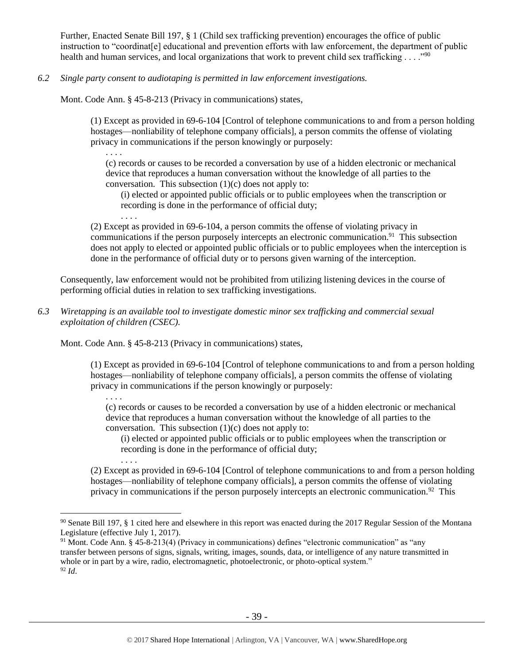Further, Enacted Senate Bill 197, § 1 (Child sex trafficking prevention) encourages the office of public instruction to "coordinat[e] educational and prevention efforts with law enforcement, the department of public health and human services, and local organizations that work to prevent child sex trafficking  $\dots$ ."<sup>90</sup>

*6.2 Single party consent to audiotaping is permitted in law enforcement investigations.*

Mont. Code Ann. § 45-8-213 (Privacy in communications) states,

(1) Except as provided in 69-6-104 [Control of telephone communications to and from a person holding hostages—nonliability of telephone company officials], a person commits the offense of violating privacy in communications if the person knowingly or purposely:

. . . .

. . . .

 $\overline{a}$ 

. . . .

. . . .

(c) records or causes to be recorded a conversation by use of a hidden electronic or mechanical device that reproduces a human conversation without the knowledge of all parties to the conversation. This subsection (1)(c) does not apply to:

(i) elected or appointed public officials or to public employees when the transcription or recording is done in the performance of official duty;

(2) Except as provided in [69-6-104,](http://data.opi.mt.gov/bills/mca/69/6/69-6-104.htm) a person commits the offense of violating privacy in communications if the person purposely intercepts an electronic communication.<sup>91</sup> This subsection does not apply to elected or appointed public officials or to public employees when the interception is done in the performance of official duty or to persons given warning of the interception.

Consequently, law enforcement would not be prohibited from utilizing listening devices in the course of performing official duties in relation to sex trafficking investigations.

*6.3 Wiretapping is an available tool to investigate domestic minor sex trafficking and commercial sexual exploitation of children (CSEC).* 

Mont. Code Ann. § 45-8-213 (Privacy in communications) states,

(1) Except as provided in [69-6-104](http://data.opi.mt.gov/bills/mca/69/6/69-6-104.htm) [Control of telephone communications to and from a person holding hostages—nonliability of telephone company officials], a person commits the offense of violating privacy in communications if the person knowingly or purposely:

(c) records or causes to be recorded a conversation by use of a hidden electronic or mechanical device that reproduces a human conversation without the knowledge of all parties to the conversation. This subsection (1)(c) does not apply to:

(i) elected or appointed public officials or to public employees when the transcription or recording is done in the performance of official duty;

(2) Except as provided in [69-6-104](http://data.opi.mt.gov/bills/mca/69/6/69-6-104.htm) [Control of telephone communications to and from a person holding hostages—nonliability of telephone company officials], a person commits the offense of violating privacy in communications if the person purposely intercepts an electronic communication.<sup>92</sup> This

 $90$  Senate Bill 197, § 1 cited here and elsewhere in this report was enacted during the 2017 Regular Session of the Montana Legislature (effective July 1, 2017).

<sup>91</sup> Mont. Code Ann. § 45-8-213(4) (Privacy in communications) defines "electronic communication" as "any transfer between persons of signs, signals, writing, images, sounds, data, or intelligence of any nature transmitted in whole or in part by a wire, radio, electromagnetic, photoelectronic, or photo-optical system." <sup>92</sup> *Id*.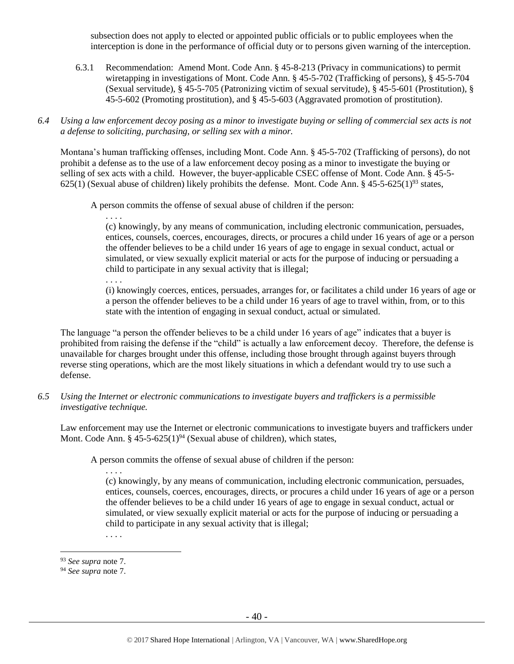subsection does not apply to elected or appointed public officials or to public employees when the interception is done in the performance of official duty or to persons given warning of the interception.

- 6.3.1 Recommendation: Amend Mont. Code Ann. § 45-8-213 (Privacy in communications) to permit wiretapping in investigations of Mont. Code Ann. § 45-5-702 (Trafficking of persons), § 45-5-704 (Sexual servitude), § 45-5-705 (Patronizing victim of sexual servitude), § 45-5-601 (Prostitution), § 45-5-602 (Promoting prostitution), and § 45-5-603 (Aggravated promotion of prostitution).
- *6.4 Using a law enforcement decoy posing as a minor to investigate buying or selling of commercial sex acts is not a defense to soliciting, purchasing, or selling sex with a minor.*

Montana's human trafficking offenses, including Mont. Code Ann. § 45-5-702 (Trafficking of persons), do not prohibit a defense as to the use of a law enforcement decoy posing as a minor to investigate the buying or selling of sex acts with a child. However, the buyer-applicable CSEC offense of Mont. Code Ann. § 45-5- 625(1) (Sexual abuse of children) likely prohibits the defense. Mont. Code Ann.  $\S 45-5-625(1)^{93}$  states,

A person commits the offense of sexual abuse of children if the person:

. . . .

(c) knowingly, by any means of communication, including electronic communication, persuades, entices, counsels, coerces, encourages, directs, or procures a child under 16 years of age or a person the offender believes to be a child under 16 years of age to engage in sexual conduct, actual or simulated, or view sexually explicit material or acts for the purpose of inducing or persuading a child to participate in any sexual activity that is illegal;

. . . .

(i) knowingly coerces, entices, persuades, arranges for, or facilitates a child under 16 years of age or a person the offender believes to be a child under 16 years of age to travel within, from, or to this state with the intention of engaging in sexual conduct, actual or simulated.

The language "a person the offender believes to be a child under 16 years of age" indicates that a buyer is prohibited from raising the defense if the "child" is actually a law enforcement decoy. Therefore, the defense is unavailable for charges brought under this offense, including those brought through against buyers through reverse sting operations, which are the most likely situations in which a defendant would try to use such a defense.

*6.5 Using the Internet or electronic communications to investigate buyers and traffickers is a permissible investigative technique.*

Law enforcement may use the Internet or electronic communications to investigate buyers and traffickers under Mont. Code Ann. § 45-5-625(1)<sup>94</sup> (Sexual abuse of children), which states,

A person commits the offense of sexual abuse of children if the person:

. . . .

(c) knowingly, by any means of communication, including electronic communication, persuades, entices, counsels, coerces, encourages, directs, or procures a child under 16 years of age or a person the offender believes to be a child under 16 years of age to engage in sexual conduct, actual or simulated, or view sexually explicit material or acts for the purpose of inducing or persuading a child to participate in any sexual activity that is illegal;

. . . .

<sup>93</sup> *See supra* note [7.](#page-3-0)

<sup>94</sup> *See supra* note [7.](#page-3-0)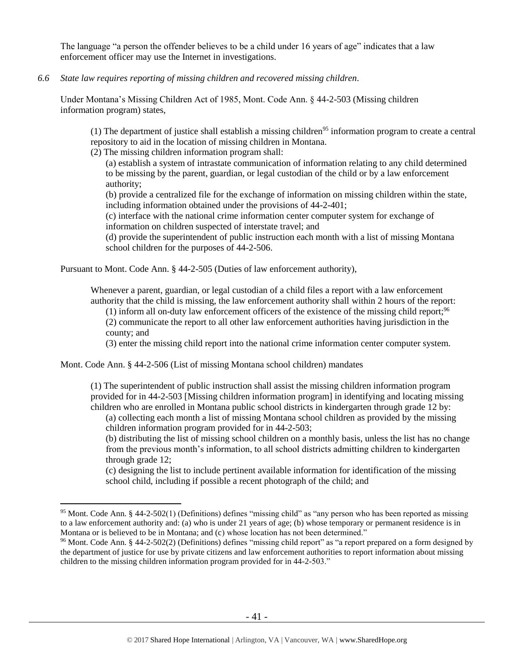The language "a person the offender believes to be a child under 16 years of age" indicates that a law enforcement officer may use the Internet in investigations.

*6.6 State law requires reporting of missing children and recovered missing children.*

Under Montana's Missing Children Act of 1985, Mont. Code Ann. § 44-2-503 (Missing children information program) states,

(1) The department of justice shall establish a missing children<sup>95</sup> information program to create a central repository to aid in the location of missing children in Montana.

(2) The missing children information program shall:

(a) establish a system of intrastate communication of information relating to any child determined to be missing by the parent, guardian, or legal custodian of the child or by a law enforcement authority;

(b) provide a centralized file for the exchange of information on missing children within the state, including information obtained under the provisions of 44-2-401;

(c) interface with the national crime information center computer system for exchange of information on children suspected of interstate travel; and

(d) provide the superintendent of public instruction each month with a list of missing Montana school children for the purposes of 44-2-506.

Pursuant to Mont. Code Ann. § 44-2-505 (Duties of law enforcement authority),

Whenever a parent, guardian, or legal custodian of a child files a report with a law enforcement authority that the child is missing, the law enforcement authority shall within 2 hours of the report:

 $(1)$  inform all on-duty law enforcement officers of the existence of the missing child report;<sup>96</sup> (2) communicate the report to all other law enforcement authorities having jurisdiction in the county; and

(3) enter the missing child report into the national crime information center computer system.

Mont. Code Ann. § 44-2-506 (List of missing Montana school children) mandates

 $\overline{a}$ 

(1) The superintendent of public instruction shall assist the missing children information program provided for in 44-2-503 [Missing children information program] in identifying and locating missing children who are enrolled in Montana public school districts in kindergarten through grade 12 by:

(a) collecting each month a list of missing Montana school children as provided by the missing children information program provided for in [44-2-503;](http://data.opi.mt.gov/bills/mca/44/2/44-2-503.htm)

(b) distributing the list of missing school children on a monthly basis, unless the list has no change from the previous month's information, to all school districts admitting children to kindergarten through grade 12;

(c) designing the list to include pertinent available information for identification of the missing school child, including if possible a recent photograph of the child; and

<sup>95</sup> Mont. Code Ann. § 44-2-502(1) (Definitions) defines "missing child" as "any person who has been reported as missing to a law enforcement authority and: (a) who is under 21 years of age; (b) whose temporary or permanent residence is in Montana or is believed to be in Montana; and (c) whose location has not been determined."

<sup>&</sup>lt;sup>96</sup> Mont. Code Ann. § 44-2-502(2) (Definitions) defines "missing child report" as "a report prepared on a form designed by the department of justice for use by private citizens and law enforcement authorities to report information about missing children to the missing children information program provided for in 44-2-503."